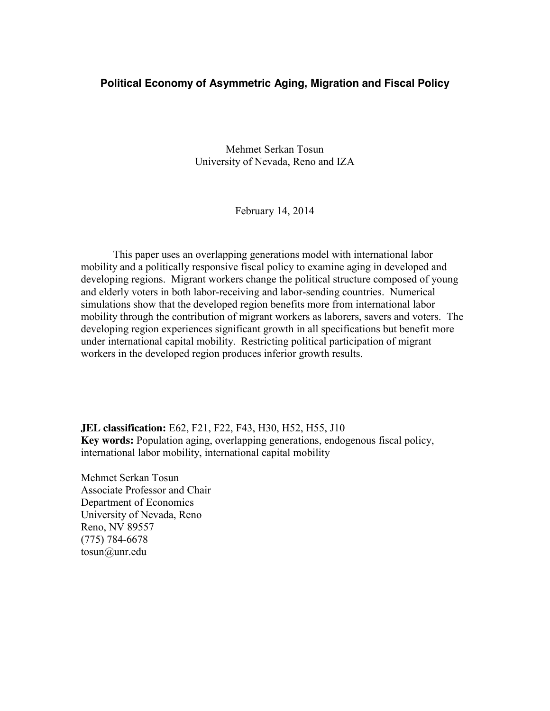#### **Political Economy of Asymmetric Aging, Migration and Fiscal Policy**

Mehmet Serkan Tosun University of Nevada, Reno and IZA

February 14, 2014

This paper uses an overlapping generations model with international labor mobility and a politically responsive fiscal policy to examine aging in developed and developing regions. Migrant workers change the political structure composed of young and elderly voters in both labor-receiving and labor-sending countries. Numerical simulations show that the developed region benefits more from international labor mobility through the contribution of migrant workers as laborers, savers and voters. The developing region experiences significant growth in all specifications but benefit more under international capital mobility. Restricting political participation of migrant workers in the developed region produces inferior growth results.

**JEL classification:** E62, F21, F22, F43, H30, H52, H55, J10 **Key words:** Population aging, overlapping generations, endogenous fiscal policy, international labor mobility, international capital mobility

Mehmet Serkan Tosun Associate Professor and Chair Department of Economics University of Nevada, Reno Reno, NV 89557 (775) 784-6678 tosun@unr.edu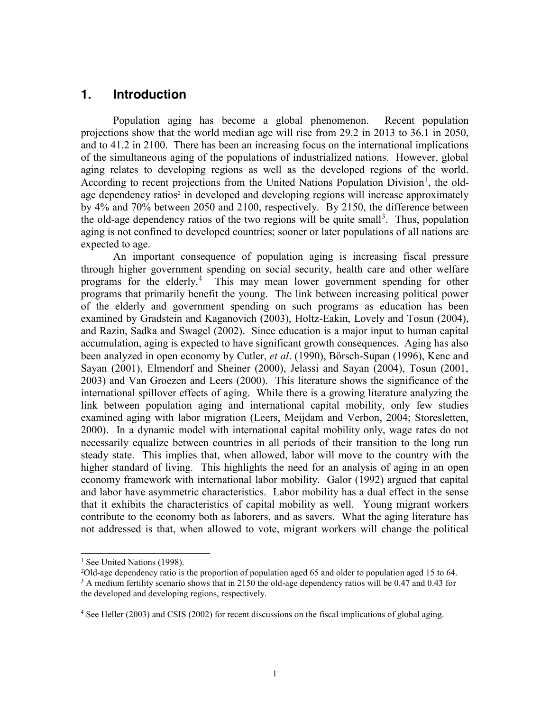## **1. Introduction**

Population aging has become a global phenomenon. Recent population projections show that the world median age will rise from 29.2 in 2013 to 36.1 in 2050, and to 41.2 in 2100. There has been an increasing focus on the international implications of the simultaneous aging of the populations of industrialized nations. However, global aging relates to developing regions as well as the developed regions of the world. According to recent projections from the United Nations Population Division<sup>1</sup>, the oldage dependency ratios<sup>2</sup> in developed and developing regions will increase approximately by 4% and 70% between 2050 and 2100, respectively. By 2150, the difference between the old-age dependency ratios of the two regions will be quite small<sup>3</sup>. Thus, population aging is not confined to developed countries; sooner or later populations of all nations are expected to age.

An important consequence of population aging is increasing fiscal pressure through higher government spending on social security, health care and other welfare programs for the elderly.<sup>4</sup> This may mean lower government spending for other programs that primarily benefit the young. The link between increasing political power of the elderly and government spending on such programs as education has been examined by Gradstein and Kaganovich (2003), Holtz-Eakin, Lovely and Tosun (2004), and Razin, Sadka and Swagel (2002). Since education is a major input to human capital accumulation, aging is expected to have significant growth consequences. Aging has also been analyzed in open economy by Cutler, *et al.* (1990), Börsch-Supan (1996), Kenc and Sayan (2001), Elmendorf and Sheiner (2000), Jelassi and Sayan (2004), Tosun (2001, 2003) and Van Groezen and Leers (2000). This literature shows the significance of the international spillover effects of aging. While there is a growing literature analyzing the link between population aging and international capital mobility, only few studies examined aging with labor migration (Leers, Meijdam and Verbon, 2004; Storesletten, 2000). In a dynamic model with international capital mobility only, wage rates do not necessarily equalize between countries in all periods of their transition to the long run steady state. This implies that, when allowed, labor will move to the country with the higher standard of living. This highlights the need for an analysis of aging in an open economy framework with international labor mobility. Galor (1992) argued that capital and labor have asymmetric characteristics. Labor mobility has a dual effect in the sense that it exhibits the characteristics of capital mobility as well.Young migrant workers contribute to the economy both as laborers, and as savers. What the aging literature has not addressed is that, when allowed to vote, migrant workers will change the political

<sup>&</sup>lt;sup>1</sup> See United Nations (1998).

<sup>2</sup> Old-age dependency ratio is the proportion of population aged 65 and older to population aged 15 to 64.

<sup>&</sup>lt;sup>3</sup> A medium fertility scenario shows that in 2150 the old-age dependency ratios will be 0.47 and 0.43 for the developed and developing regions, respectively.

<sup>4</sup> See Heller (2003) and CSIS (2002) for recent discussions on the fiscal implications of global aging.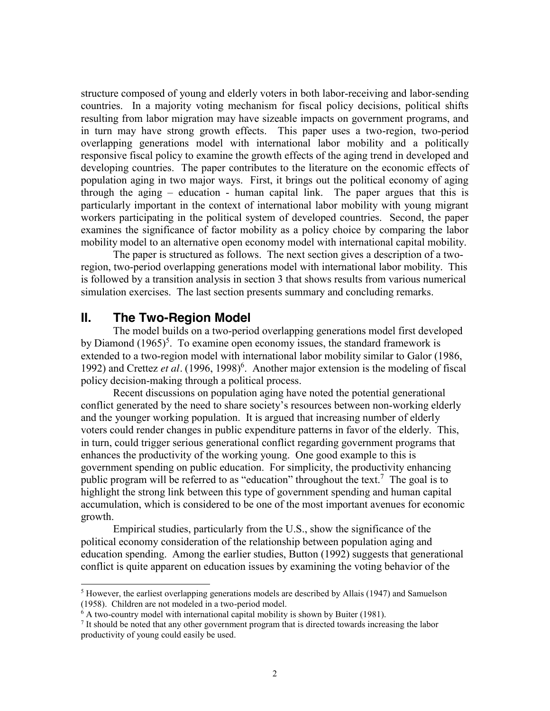structure composed of young and elderly voters in both labor-receiving and labor-sending countries. In a majority voting mechanism for fiscal policy decisions, political shifts resulting from labor migration may have sizeable impacts on government programs, and in turn may have strong growth effects. This paper uses a two-region, two-period overlapping generations model with international labor mobility and a politically responsive fiscal policy to examine the growth effects of the aging trend in developed and developing countries. The paper contributes to the literature on the economic effects of population aging in two major ways. First, it brings out the political economy of aging through the aging – education - human capital link. The paper argues that this is particularly important in the context of international labor mobility with young migrant workers participating in the political system of developed countries. Second, the paper examines the significance of factor mobility as a policy choice by comparing the labor mobility model to an alternative open economy model with international capital mobility.

The paper is structured as follows. The next section gives a description of a tworegion, two-period overlapping generations model with international labor mobility. This is followed by a transition analysis in section 3 that shows results from various numerical simulation exercises. The last section presents summary and concluding remarks.

## **II. The Two-Region Model**

The model builds on a two-period overlapping generations model first developed by Diamond  $(1965)^5$ . To examine open economy issues, the standard framework is extended to a two-region model with international labor mobility similar to Galor (1986, 1992) and Crettez et al. (1996, 1998)<sup>6</sup>. Another major extension is the modeling of fiscal policy decision-making through a political process.

Recent discussions on population aging have noted the potential generational conflict generated by the need to share society's resources between non-working elderly and the younger working population. It is argued that increasing number of elderly voters could render changes in public expenditure patterns in favor of the elderly. This, in turn, could trigger serious generational conflict regarding government programs that enhances the productivity of the working young. One good example to this is government spending on public education. For simplicity, the productivity enhancing public program will be referred to as "education" throughout the text.<sup>7</sup> The goal is to highlight the strong link between this type of government spending and human capital accumulation, which is considered to be one of the most important avenues for economic growth.

Empirical studies, particularly from the U.S., show the significance of the political economy consideration of the relationship between population aging and education spending. Among the earlier studies, Button (1992) suggests that generational conflict is quite apparent on education issues by examining the voting behavior of the

 $<sup>5</sup>$  However, the earliest overlapping generations models are described by Allais (1947) and Samuelson</sup> (1958). Children are not modeled in a two-period model.

 $6$  A two-country model with international capital mobility is shown by Buiter (1981).

<sup>7</sup> It should be noted that any other government program that is directed towards increasing the labor productivity of young could easily be used.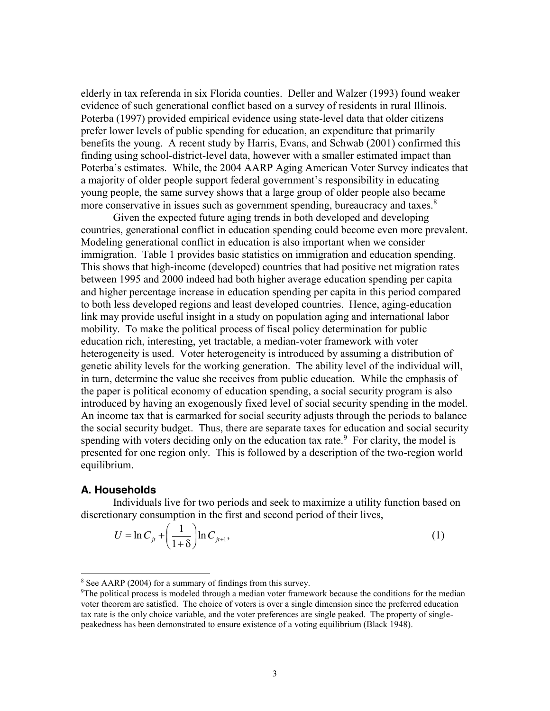elderly in tax referenda in six Florida counties. Deller and Walzer (1993) found weaker evidence of such generational conflict based on a survey of residents in rural Illinois. Poterba (1997) provided empirical evidence using state-level data that older citizens prefer lower levels of public spending for education, an expenditure that primarily benefits the young. A recent study by Harris, Evans, and Schwab (2001) confirmed this finding using school-district-level data, however with a smaller estimated impact than Poterba's estimates. While, the 2004 AARP Aging American Voter Survey indicates that a majority of older people support federal government's responsibility in educating young people, the same survey shows that a large group of older people also became more conservative in issues such as government spending, bureaucracy and taxes.<sup>8</sup>

Given the expected future aging trends in both developed and developing countries, generational conflict in education spending could become even more prevalent. Modeling generational conflict in education is also important when we consider immigration. Table 1 provides basic statistics on immigration and education spending. This shows that high-income (developed) countries that had positive net migration rates between 1995 and 2000 indeed had both higher average education spending per capita and higher percentage increase in education spending per capita in this period compared to both less developed regions and least developed countries. Hence, aging-education link may provide useful insight in a study on population aging and international labor mobility. To make the political process of fiscal policy determination for public education rich, interesting, yet tractable, a median-voter framework with voter heterogeneity is used. Voter heterogeneity is introduced by assuming a distribution of genetic ability levels for the working generation. The ability level of the individual will, in turn, determine the value she receives from public education. While the emphasis of the paper is political economy of education spending, a social security program is also introduced by having an exogenously fixed level of social security spending in the model. An income tax that is earmarked for social security adjusts through the periods to balance the social security budget. Thus, there are separate taxes for education and social security spending with voters deciding only on the education tax rate. $9$  For clarity, the model is presented for one region only. This is followed by a description of the two-region world equilibrium.

#### **A. Households**

Individuals live for two periods and seek to maximize a utility function based on discretionary consumption in the first and second period of their lives,

$$
U = \ln C_{ji} + \left(\frac{1}{1+\delta}\right) \ln C_{ji+1},\tag{1}
$$

 <sup>8</sup> See AARP (2004) for a summary of findings from this survey.

<sup>9</sup> The political process is modeled through a median voter framework because the conditions for the median voter theorem are satisfied. The choice of voters is over a single dimension since the preferred education tax rate is the only choice variable, and the voter preferences are single peaked. The property of singlepeakedness has been demonstrated to ensure existence of a voting equilibrium (Black 1948).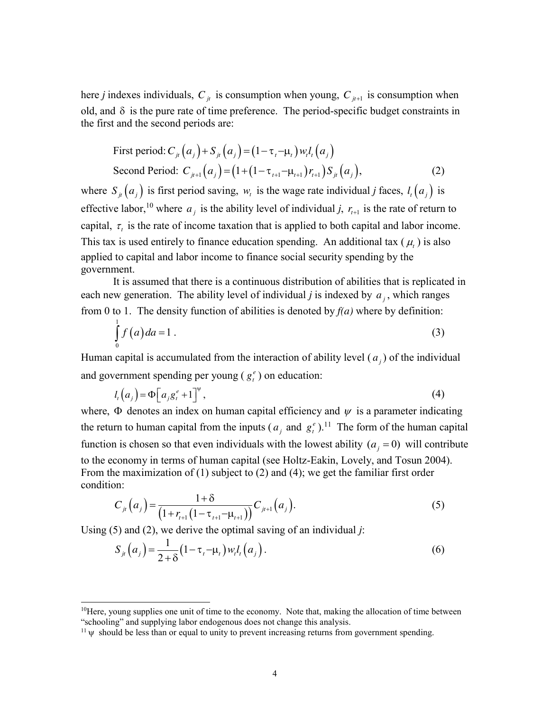here *j* indexes individuals,  $C_{it}$  is consumption when young,  $C_{it+1}$  is consumption when old, and  $\delta$  is the pure rate of time preference. The period-specific budget constraints in the first and the second periods are:

First period: 
$$
C_{ji}(a_j) + S_{ji}(a_j) = (1 - \tau_i - \mu_i) w_i l_i(a_j)
$$
  
Second Period:  $C_{ji+1}(a_j) = (1 + (1 - \tau_{i+1} - \mu_{i+1}) r_{i+1}) S_{ji}(a_j),$  (2)

where  $S_{i}(a_j)$  is first period saving,  $w_i$  is the wage rate individual *j* faces,  $l_i(a_j)$  is effective labor,<sup>10</sup> where  $a_j$  is the ability level of individual *j*,  $r_{i+1}$  is the rate of return to capital,  $\tau$ , is the rate of income taxation that is applied to both capital and labor income. This tax is used entirely to finance education spending. An additional tax  $(\mu)$  is also applied to capital and labor income to finance social security spending by the government.

It is assumed that there is a continuous distribution of abilities that is replicated in each new generation. The ability level of individual *j* is indexed by  $a_i$ , which ranges from 0 to 1. The density function of abilities is denoted by *f(a)* where by definition:

$$
\int_{0}^{1} f(a) da = 1.
$$
\n(3)

Human capital is accumulated from the interaction of ability level  $(a_i)$  of the individual and government spending per young  $(g_t^e)$  on education:

$$
l_t\left(a_j\right) = \Phi\left[a_j g_t^e + 1\right]^{\Psi},\tag{4}
$$

where,  $\Phi$  denotes an index on human capital efficiency and  $\psi$  is a parameter indicating the return to human capital from the inputs ( $a_j$  and  $g_t^e$ ).<sup>11</sup> The form of the human capital function is chosen so that even individuals with the lowest ability  $(a_i = 0)$  will contribute to the economy in terms of human capital (see Holtz-Eakin, Lovely, and Tosun 2004). From the maximization of (1) subject to (2) and (4); we get the familiar first order condition:

$$
C_{j_t}(a_j) = \frac{1+\delta}{\left(1 + r_{t+1}\left(1 - \tau_{t+1} - \mu_{t+1}\right)\right)} C_{j_{t+1}}(a_j). \tag{5}
$$

Using (5) and (2), we derive the optimal saving of an individual *j*:

$$
S_{j_l}(a_j) = \frac{1}{2+\delta} (1 - \tau_{l} - \mu_l) w_l l_l(a_j).
$$
 (6)

<sup>&</sup>lt;sup>10</sup>Here, young supplies one unit of time to the economy. Note that, making the allocation of time between "schooling" and supplying labor endogenous does not change this analysis.

 $11 \psi$  should be less than or equal to unity to prevent increasing returns from government spending.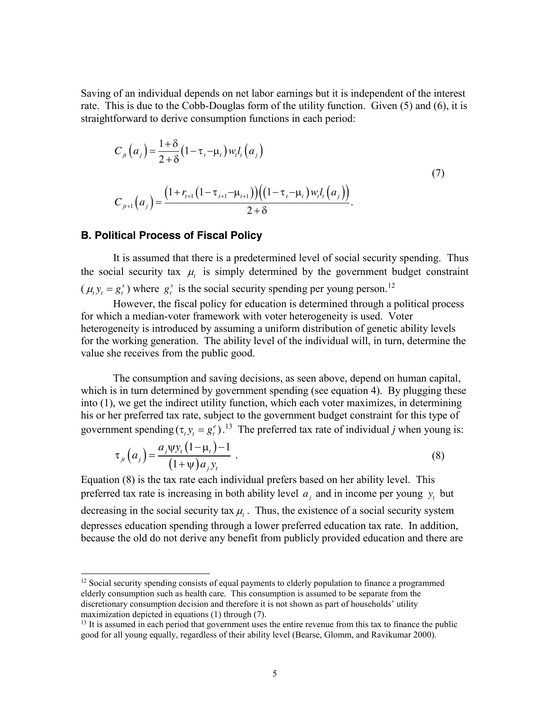Saving of an individual depends on net labor earnings but it is independent of the interest rate. This is due to the Cobb-Douglas form of the utility function. Given (5) and (6), it is straightforward to derive consumption functions in each period:

$$
C_{jt}(a_j) = \frac{1+\delta}{2+\delta} (1-\tau_{t-}u_t) w_t l_t(a_j)
$$
  
\n
$$
C_{jt+1}(a_j) = \frac{\left(1 + r_{t+1}(1-\tau_{t+1}-\mu_{t+1})\right) \left(\left(1 - \tau_{t-}u_t\right) w_t l_t(a_j)\right)}{2+\delta}.
$$
\n(7)

### **B. Political Process of Fiscal Policy**

It is assumed that there is a predetermined level of social security spending. Thus the social security tax  $\mu$ , is simply determined by the government budget constraint  $(\mu_t y_t = g_t^s)$  where  $g_t^s$  is the social security spending per young person.<sup>12</sup>

However, the fiscal policy for education is determined through a political process for which a median-voter framework with voter heterogeneity is used. Voter heterogeneity is introduced by assuming a uniform distribution of genetic ability levels for the working generation. The ability level of the individual will, in turn, determine the value she receives from the public good.

The consumption and saving decisions, as seen above, depend on human capital, which is in turn determined by government spending (see equation 4). By plugging these into (1), we get the indirect utility function, which each voter maximizes, in determining his or her preferred tax rate, subject to the government budget constraint for this type of government spending  $(\tau_t y_t = g_t^e)$ .<sup>13</sup> The preferred tax rate of individual *j* when young is:

$$
\tau_{jt}\left(a_j\right) = \frac{a_j \psi y_t (1 - \mu_t) - 1}{(1 + \psi) a_j y_t} \tag{8}
$$

Equation (8) is the tax rate each individual prefers based on her ability level. This preferred tax rate is increasing in both ability level  $a_i$  and in income per young  $y_t$  but decreasing in the social security tax  $\mu$ . Thus, the existence of a social security system depresses education spending through a lower preferred education tax rate. In addition, because the old do not derive any benefit from publicly provided education and there are

<sup>&</sup>lt;sup>12</sup> Social security spending consists of equal payments to elderly population to finance a programmed elderly consumption such as health care. This consumption is assumed to be separate from the discretionary consumption decision and therefore it is not shown as part of households' utility maximization depicted in equations (1) through (7).  $\frac{13}{13}$  It is assumed in each period that government uses the entire revenue from this tax to finance the public

good for all young equally, regardless of their ability level (Bearse, Glomm, and Ravikumar 2000).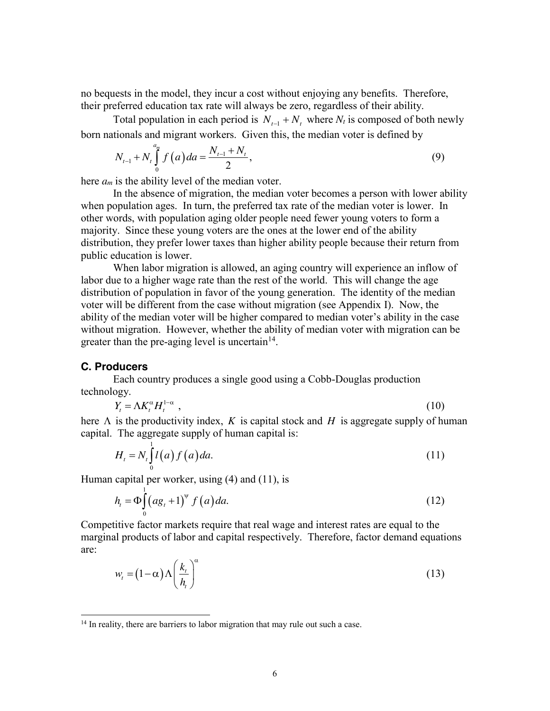no bequests in the model, they incur a cost without enjoying any benefits. Therefore, their preferred education tax rate will always be zero, regardless of their ability.

Total population in each period is  $N_{t-1} + N_t$  where  $N_t$  is composed of both newly born nationals and migrant workers. Given this, the median voter is defined by

$$
N_{t-1} + N_t \int_0^{a_m} f\left(a\right) da = \frac{N_{t-1} + N_t}{2},\tag{9}
$$

here *am* is the ability level of the median voter.

In the absence of migration, the median voter becomes a person with lower ability when population ages. In turn, the preferred tax rate of the median voter is lower. In other words, with population aging older people need fewer young voters to form a majority. Since these young voters are the ones at the lower end of the ability distribution, they prefer lower taxes than higher ability people because their return from public education is lower.

When labor migration is allowed, an aging country will experience an inflow of labor due to a higher wage rate than the rest of the world. This will change the age distribution of population in favor of the young generation. The identity of the median voter will be different from the case without migration (see Appendix I). Now, the ability of the median voter will be higher compared to median voter's ability in the case without migration. However, whether the ability of median voter with migration can be greater than the pre-aging level is uncertain $14$ .

### **C. Producers**

Each country produces a single good using a Cobb-Douglas production technology.

$$
Y_t = \Lambda K_t^{\alpha} H_t^{1-\alpha} \tag{10}
$$

here  $\Lambda$  is the productivity index, *K* is capital stock and *H* is aggregate supply of human capital. The aggregate supply of human capital is:

$$
H_t = N_t \int_0^1 l(a) f(a) da.
$$
 (11)

Human capital per worker, using (4) and (11), is

$$
h_t = \Phi \int_0^1 (a g_t + 1)^{\Psi} f(a) da.
$$
 (12)

Competitive factor markets require that real wage and interest rates are equal to the marginal products of labor and capital respectively. Therefore, factor demand equations are:

$$
w_t = (1 - \alpha) \Lambda \left(\frac{k_t}{h_t}\right)^{\alpha} \tag{13}
$$

 $14$  In reality, there are barriers to labor migration that may rule out such a case.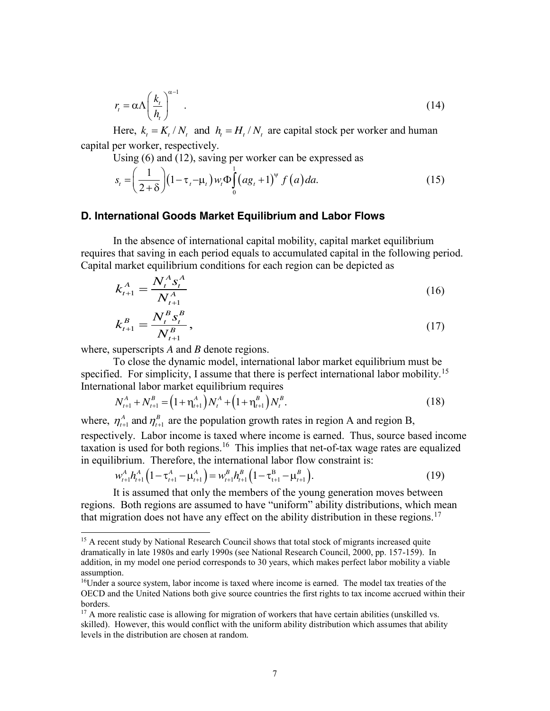$$
r_{t} = \alpha \Lambda \left(\frac{k_{t}}{h_{t}}\right)^{\alpha - 1} \tag{14}
$$

Here,  $k_t = K_t / N_t$  and  $h_t = H_t / N_t$  are capital stock per worker and human capital per worker, respectively.

Using (6) and (12), saving per worker can be expressed as

$$
s_{t} = \left(\frac{1}{2+\delta}\right) \left(1 - \tau_{t} - \mu_{t}\right) w_{t} \Phi \int_{0}^{1} (a g_{t} + 1)^{\nu} f(a) da.
$$
 (15)

#### **D. International Goods Market Equilibrium and Labor Flows**

In the absence of international capital mobility, capital market equilibrium requires that saving in each period equals to accumulated capital in the following period. Capital market equilibrium conditions for each region can be depicted as

$$
k_{t+1}^A = \frac{N_t^A s_t^A}{N_{t+1}^A} \tag{16}
$$

$$
k_{t+1}^B = \frac{N_t^B s_t^B}{N_{t+1}^B},\tag{17}
$$

where, superscripts *A* and *B* denote regions.

To close the dynamic model, international labor market equilibrium must be specified. For simplicity, I assume that there is perfect international labor mobility.<sup>15</sup> International labor market equilibrium requires

$$
N_{t+1}^A + N_{t+1}^B = (1 + \eta_{t+1}^A) N_t^A + (1 + \eta_{t+1}^B) N_t^B.
$$
\n(18)

where,  $\eta_{t+1}^A$  and  $\eta_{t+1}^B$  $\eta_{t+1}^A$  and  $\eta_{t+1}^B$  are the population growth rates in region A and region B, respectively. Labor income is taxed where income is earned. Thus, source based income taxation is used for both regions.<sup>16</sup> This implies that net-of-tax wage rates are equalized in equilibrium. Therefore, the international labor flow constraint is:

$$
w_{t+1}^A h_{t+1}^A \left(1 - \tau_{t+1}^A - \mu_{t+1}^A\right) = w_{t+1}^B h_{t+1}^B \left(1 - \tau_{t+1}^B - \mu_{t+1}^B\right). \tag{19}
$$

It is assumed that only the members of the young generation moves between regions. Both regions are assumed to have "uniform" ability distributions, which mean that migration does not have any effect on the ability distribution in these regions.<sup>17</sup>

<sup>&</sup>lt;sup>15</sup> A recent study by National Research Council shows that total stock of migrants increased quite dramatically in late 1980s and early 1990s (see National Research Council, 2000, pp. 157-159). In addition, in my model one period corresponds to 30 years, which makes perfect labor mobility a viable assumption.

<sup>16</sup>Under a source system, labor income is taxed where income is earned. The model tax treaties of the OECD and the United Nations both give source countries the first rights to tax income accrued within their borders.

<sup>&</sup>lt;sup>17</sup> A more realistic case is allowing for migration of workers that have certain abilities (unskilled vs. skilled). However, this would conflict with the uniform ability distribution which assumes that ability levels in the distribution are chosen at random.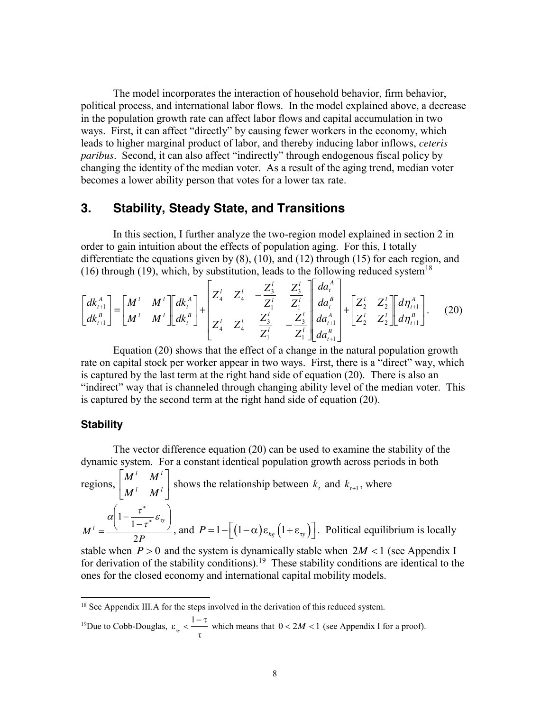The model incorporates the interaction of household behavior, firm behavior, political process, and international labor flows. In the model explained above, a decrease in the population growth rate can affect labor flows and capital accumulation in two ways. First, it can affect "directly" by causing fewer workers in the economy, which leads to higher marginal product of labor, and thereby inducing labor inflows, *ceteris paribus*. Second, it can also affect "indirectly" through endogenous fiscal policy by changing the identity of the median voter. As a result of the aging trend, median voter becomes a lower ability person that votes for a lower tax rate.

# **3. Stability, Steady State, and Transitions**

In this section, I further analyze the two-region model explained in section 2 in order to gain intuition about the effects of population aging. For this, I totally differentiate the equations given by (8), (10), and (12) through (15) for each region, and (16) through (19), which, by substitution, leads to the following reduced system<sup>18</sup>

$$
\begin{bmatrix} dk_{t+1}^{A} \\ dk_{t+1}^{B} \end{bmatrix} = \begin{bmatrix} M^{l} & M^{l} \\ M^{l} & M^{l} \end{bmatrix} \begin{bmatrix} dk_{t}^{A} \\ dk_{t}^{B} \end{bmatrix} + \begin{bmatrix} Z_{4}^{l} & Z_{4}^{l} & -Z_{3}^{l} \\ Z_{4}^{l} & Z_{4}^{l} & Z_{4}^{l} \\ Z_{4}^{l} & Z_{4}^{l} & Z_{4}^{l} \\ Z_{4}^{l} & Z_{4}^{l} & Z_{4}^{l} \end{bmatrix} \begin{bmatrix} dz_{3}^{l} \\ dz_{4}^{B} \\ dz_{1}^{C} \\ dz_{2}^{C} \end{bmatrix} \begin{bmatrix} da_{t}^{A} \\ da_{t}^{B} \\ da_{t+1}^{A} \\ da_{t+1}^{B} \end{bmatrix} + \begin{bmatrix} Z_{2}^{l} & Z_{2}^{l} \\ Z_{2}^{l} & Z_{2}^{l} \end{bmatrix} \begin{bmatrix} d\eta_{t+1}^{A} \\ d\eta_{t+1}^{B} \end{bmatrix}.
$$
 (20)

Equation (20) shows that the effect of a change in the natural population growth rate on capital stock per worker appear in two ways. First, there is a "direct" way, which is captured by the last term at the right hand side of equation (20). There is also an "indirect" way that is channeled through changing ability level of the median voter. This is captured by the second term at the right hand side of equation (20).

#### **Stability**

The vector difference equation (20) can be used to examine the stability of the dynamic system. For a constant identical population growth across periods in both regions,  $\begin{vmatrix} M^T & M^T \end{vmatrix}$  $\left\lfloor M^+ \quad M^+ \right\rfloor$ *l l l l*  $M'$  *M*  $\left\{\begin{array}{c} M' & M' \\ M' & \end{array}\right\}$  shows the relationship between  $k_t$  and  $k_{t+1}$ , where *P M y l* 2  $1-\frac{1}{1-\tau^*}\varepsilon_{\nu}$ J  $\backslash$  $\overline{\phantom{a}}$  $\setminus$  $\alpha \left(1 - \frac{\tau}{1 - \tau}\right)$ \* ×  $\frac{\ }{\tau^*}\varepsilon_{\tau}$  $\alpha$ | 1 –  $\frac{\tau}{\tau}$ , and  $P = 1 - \left[ (1 - \alpha) \varepsilon_{hg} (1 + \varepsilon_{vy}) \right]$ . Political equilibrium is locally

stable when  $P > 0$  and the system is dynamically stable when  $2M < 1$  (see Appendix I) for derivation of the stability conditions).19 These stability conditions are identical to the ones for the closed economy and international capital mobility models.

<sup>19</sup>Due to Cobb-Douglas, 
$$
\varepsilon_{\text{v}} < \frac{1-\tau}{\tau}
$$
 which means that  $0 < 2M < 1$  (see Appendix I for a proof).

<sup>&</sup>lt;sup>18</sup> See Appendix III.A for the steps involved in the derivation of this reduced system.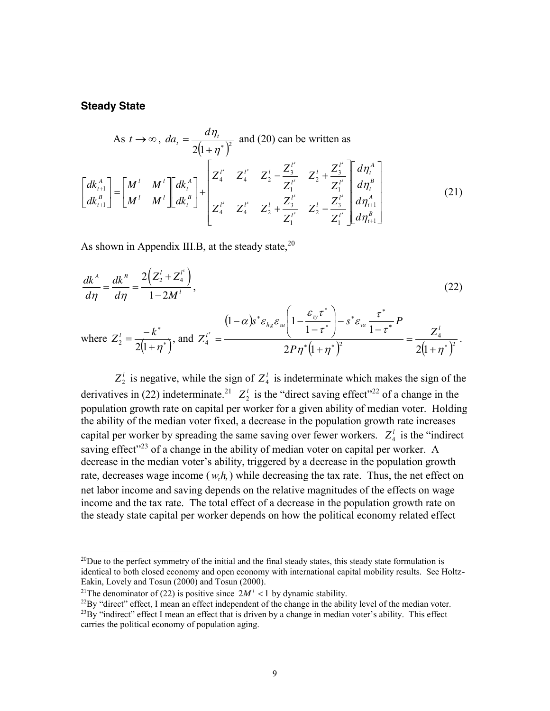#### **Steady State**

As 
$$
t \to \infty
$$
,  $da_t = \frac{d\eta_t}{2(1+\eta^*)^2}$  and (20) can be written as  
\n
$$
\begin{bmatrix} dk_{t+1}^A \\ dk_{t+1}^B \end{bmatrix} = \begin{bmatrix} M^l & M^l \\ M^l & M^l \end{bmatrix} \begin{bmatrix} dk_t^A \\ dk_t^B \end{bmatrix} + \begin{bmatrix} Z_4^{l^s} & Z_4^{l^s} & Z_2^l - \frac{Z_3^{l^s}}{Z_1^{l^s}} & Z_2^l + \frac{Z_4^{l^s}}{Z_1^{l^s}} & \frac{Z_4^l}{Z_1^{l^s}} & \frac{Z_4^l}{Z_1^{l^s}} & Z_2^l - \frac{Z_3^{l^s}}{Z_1^{l^s}} & \frac{Z_4^l}{Z_1^{l^s}} & \frac{Z_4^l}{Z_1^{l^s}} & \frac{Z_4^l}{Z_1^{l^s}} & \frac{Z_4^l}{Z_1^{l^s}} & \frac{Z_4^l}{Z_1^{l^s}} & \frac{Z_4^l}{Z_1^{l^s}} & \frac{Z_4^l}{Z_1^{l^s}} & \frac{Z_4^l}{Z_1^{l^s}} & \frac{Z_4^l}{Z_1^{l^s}} & \frac{Z_4^l}{Z_1^{l^s}} & \frac{Z_4^l}{Z_1^{l^s}} & \frac{Z_4^l}{Z_1^{l^s}} & \frac{Z_4^l}{Z_1^{l^s}} & \frac{Z_4^l}{Z_1^{l^s}} & \frac{Z_4^l}{Z_1^{l^s}} & \frac{Z_4^l}{Z_1^{l^s}} & \frac{Z_4^l}{Z_1^{l^s}} & \frac{Z_4^l}{Z_1^{l^s}} & \frac{Z_4^l}{Z_1^{l^s}} & \frac{Z_4^l}{Z_1^{l^s}} & \frac{Z_4^l}{Z_1^{l^s}} & \frac{Z_4^l}{Z_1^{l^s}} & \frac{Z_4^l}{Z_1^{l^s}} & \frac{Z_4^l}{Z_1^{l^s}} & \frac{Z_4^l}{Z_1^{l^s}} & \frac{Z_4^l}{Z_1^{l^s}} & \frac{Z_4^l}{Z_1^{l^s}} & \frac{Z
$$

As shown in Appendix III.B, at the steady state,  $20$ 

$$
\frac{dk^A}{d\eta} = \frac{dk^B}{d\eta} = \frac{2\left(Z_2^l + Z_4^{l^*}\right)}{1 - 2M^l},
$$
\n(22)

where 
$$
Z_2^l = \frac{-k^*}{2(1+\eta^*)}
$$
, and  $Z_4^{l^s} = \frac{(1-\alpha)s^* \varepsilon_{hg} \varepsilon_{uq} \left(1 - \frac{\varepsilon_{\eta'} \tau^*}{1 - \tau^*}\right) - s^* \varepsilon_{uq} \frac{\tau^*}{1 - \tau^*} P}{2P\eta^* (1+\eta^*)^2} = \frac{Z_4^l}{2(1+\eta^*)^2}.$ 

 $Z_2^l$  is negative, while the sign of  $Z_4^l$  is indeterminate which makes the sign of the derivatives in (22) indeterminate.<sup>21</sup>  $Z_2^l$  is the "direct saving effect"<sup>22</sup> of a change in the population growth rate on capital per worker for a given ability of median voter. Holding the ability of the median voter fixed, a decrease in the population growth rate increases capital per worker by spreading the same saving over fewer workers.  $Z_4^l$  is the "indirect" saving effect"<sup>23</sup> of a change in the ability of median voter on capital per worker. A decrease in the median voter's ability, triggered by a decrease in the population growth rate, decreases wage income  $(w, h, t)$  while decreasing the tax rate. Thus, the net effect on net labor income and saving depends on the relative magnitudes of the effects on wage income and the tax rate. The total effect of a decrease in the population growth rate on the steady state capital per worker depends on how the political economy related effect

 $^{20}$ Due to the perfect symmetry of the initial and the final steady states, this steady state formulation is identical to both closed economy and open economy with international capital mobility results. See Holtz-Eakin, Lovely and Tosun (2000) and Tosun (2000).

<sup>&</sup>lt;sup>21</sup>The denominator of (22) is positive since  $2M^2 < 1$  by dynamic stability.<br><sup>22</sup>By "direct" effect, I mean an effect independent of the change in the ability level of the median voter.  $^{23}$ By "indirect" effect I mean an effect that is driven by a change in median voter's ability. This effect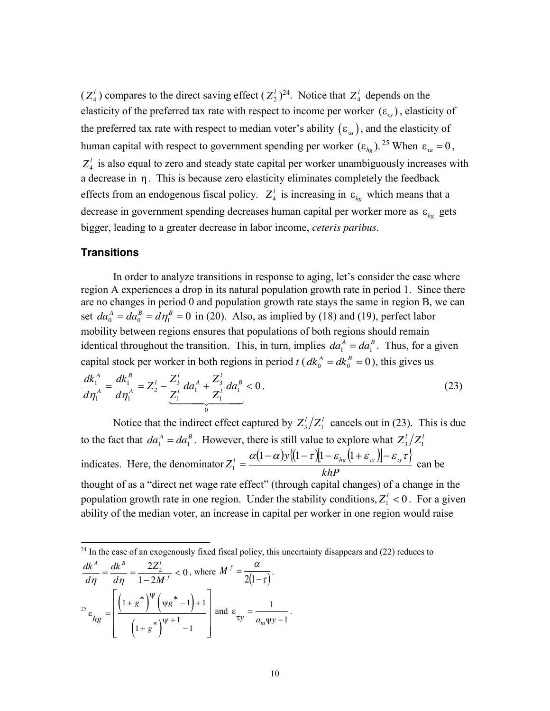$(Z_4^l)$  compares to the direct saving effect  $(Z_2^l)^{24}$ . Notice that  $Z_4^l$  depends on the elasticity of the preferred tax rate with respect to income per worker  $(\varepsilon_{\rm v})$ , elasticity of the preferred tax rate with respect to median voter's ability  $(\varepsilon_{\alpha})$ , and the elasticity of human capital with respect to government spending per worker  $(\varepsilon_{he})$ . <sup>25</sup> When  $\varepsilon_{ta} = 0$ ,  $Z_4^l$  is also equal to zero and steady state capital per worker unambiguously increases with a decrease in  $\eta$ . This is because zero elasticity eliminates completely the feedback effects from an endogenous fiscal policy.  $Z_4^l$  is increasing in  $\varepsilon_{hg}$  which means that a decrease in government spending decreases human capital per worker more as  $\varepsilon_{h}$  gets bigger, leading to a greater decrease in labor income, *ceteris paribus*.

#### **Transitions**

In order to analyze transitions in response to aging, let's consider the case where region A experiences a drop in its natural population growth rate in period 1. Since there are no changes in period 0 and population growth rate stays the same in region B, we can set  $da_0^A = da_0^B = d\eta_1^B = 0$  in (20). Also, as implied by (18) and (19), perfect labor mobility between regions ensures that populations of both regions should remain identical throughout the transition. This, in turn, implies  $da_1^A = da_1^B$ . Thus, for a given capital stock per worker in both regions in period *t* ( $dk_0^A = dk_0^B = 0$ ), this gives us

$$
\frac{dk_1^A}{d\eta_1^A} = \frac{dk_1^B}{d\eta_1^A} = Z_2^l - \underbrace{\frac{Z_3^l}{Z_1^l} da_1^A}_{0} + \underbrace{\frac{Z_3^l}{Z_1^l} da_1^B}_{0} < 0. \tag{23}
$$

Notice that the indirect effect captured by  $Z_3^1/Z_1^1$  cancels out in (23). This is due to the fact that  $da_1^A = da_1^B$ . However, there is still value to explore what  $Z_3^1/Z_1^B$ indicates. Here, the denominator  $Z_1^l = \frac{\alpha(1-\alpha)y\{(1-\tau)[1-\varepsilon_{hg}(1+\varepsilon_{ng})]-\varepsilon_{ng}\tau\}}{1-\varepsilon_{hg}}$ *khP*  $Z_1^l = \frac{\alpha (1-\alpha) y \langle (1-\tau) [1-\varepsilon_{hg} (1+\varepsilon_{g})] - \varepsilon_{g} \tau \rangle}{h D}$  can be thought of as a "direct net wage rate effect" (through capital changes) of a change in the population growth rate in one region. Under the stability conditions,  $Z_1^{\ell} < 0$ . For a given ability of the median voter, an increase in capital per worker in one region would raise

<sup>24</sup> In the case of an exogenously fixed fiscal policy, this uncertainty disappears and (22) reduces to 0  $\frac{A}{\rho} = \frac{dk^B}{d\eta} = \frac{2Z_2^L}{1 - 2M^f}$ *M Z d dk d dk*  $\frac{dx^{A}}{d\eta} = \frac{dk^{B}}{d\eta} = \frac{2Z_{2}^{T}}{1 - 2M^{T}} < 0$ , where  $M^{T} = \frac{\alpha}{2(1 - \tau)}$ . 25  $\left[\begin{pmatrix}1+g\\g\end{pmatrix}\begin{pmatrix}\psi g^{\mathrm{T}}-1\end{pmatrix}\right]$  $(1+g^{\dagger})$  $1 + g^*$   $\left[\sqrt{g^2 - 1}\right] + 1$ 1  $1 + g^{\ast}$  |  $-1$ *g g hg g*  $+g^*$ <sup> $\psi$ </sup> $\left(\psi g^* - 1\right) +$  $\varepsilon_{hg} = \left( \frac{\frac{1}{1 + g^*} \sqrt{1 + 1}}{\left( 1 + g^* \right)^{1/1}} \right)$  $\left[ \begin{array}{cc} 1 & * \end{array} \begin{array}{cc} 1 & * & * \end{array} \begin{array}{cc} 1 & * & * & * \end{array} \right]$  $\left(1+g^{+}\right) \left(\psi g^{+}-1\right)+1$  $\begin{bmatrix} 1+8 \end{bmatrix}$  -1 and  $\varepsilon = \frac{1}{\sqrt{1 - \frac{1}{\epsilon^2}}}$  $\varepsilon_{xy} = \frac{1}{a_m \psi y - 1}$ .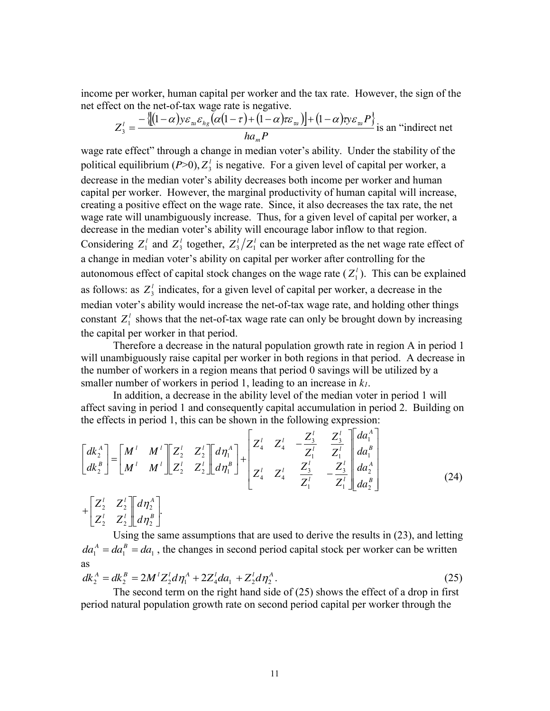income per worker, human capital per worker and the tax rate. However, the sign of the net effect on the net-of-tax wage rate is negative.

$$
Z_3^l = \frac{-\left\{[(1-\alpha)y\varepsilon_m\varepsilon_{hg}(\alpha(1-\tau)+(1-\alpha)\tau\varepsilon_m)\right\}+(1-\alpha)y\varepsilon_mP\right\}}{ha_mP}
$$
 is an "indirect net

wage rate effect" through a change in median voter's ability. Under the stability of the political equilibrium  $(P>0)$ ,  $Z_3^l$  is negative. For a given level of capital per worker, a decrease in the median voter's ability decreases both income per worker and human capital per worker. However, the marginal productivity of human capital will increase, creating a positive effect on the wage rate. Since, it also decreases the tax rate, the net wage rate will unambiguously increase. Thus, for a given level of capital per worker, a decrease in the median voter's ability will encourage labor inflow to that region. Considering  $Z_1^l$  and  $Z_3^l$  together,  $Z_3^l/Z_1^l$  can be interpreted as the net wage rate effect of a change in median voter's ability on capital per worker after controlling for the autonomous effect of capital stock changes on the wage rate  $(Z_1)$ . This can be explained as follows: as  $Z_3^l$  indicates, for a given level of capital per worker, a decrease in the median voter's ability would increase the net-of-tax wage rate, and holding other things constant  $Z_1^l$  shows that the net-of-tax wage rate can only be brought down by increasing the capital per worker in that period.

Therefore a decrease in the natural population growth rate in region A in period 1 will unambiguously raise capital per worker in both regions in that period. A decrease in the number of workers in a region means that period 0 savings will be utilized by a smaller number of workers in period 1, leading to an increase in *k1*.

In addition, a decrease in the ability level of the median voter in period 1 will affect saving in period 1 and consequently capital accumulation in period 2. Building on the effects in period 1, this can be shown in the following expression:

$$
\begin{bmatrix} dk_2^A \\ dk_2^B \end{bmatrix} = \begin{bmatrix} M^l & M^l \\ M^l & M^l \end{bmatrix} \begin{bmatrix} Z_2^l & Z_2^l \\ Z_2^l & Z_2^l \end{bmatrix} \begin{bmatrix} d\eta_1^A \\ d\eta_1^B \end{bmatrix} + \begin{bmatrix} Z_4^l & Z_4^l & -\frac{Z_3^l}{Z_1^l} & \frac{Z_4^l}{Z_1^l} \\ Z_4^l & Z_4^l & \frac{Z_4^l}{Z_1^l} & -\frac{Z_3^l}{Z_1^l} \end{bmatrix} \begin{bmatrix} da_1^A \\ da_2^B \\ da_2^B \end{bmatrix} + \begin{bmatrix} Z_2^l & Z_2^l \\ Z_2^l & Z_2^l \end{bmatrix} \begin{bmatrix} d\eta_1^A \\ d\eta_2^B \end{bmatrix}.
$$
\n(24)

Using the same assumptions that are used to derive the results in (23), and letting  $da_1^A = da_1^B = da_1$ , the changes in second period capital stock per worker can be written as

$$
dk_2^A = dk_2^B = 2M^l Z_2^l d\eta_1^A + 2Z_4^l da_1 + Z_2^l d\eta_2^A.
$$
\n(25)

The second term on the right hand side of (25) shows the effect of a drop in first period natural population growth rate on second period capital per worker through the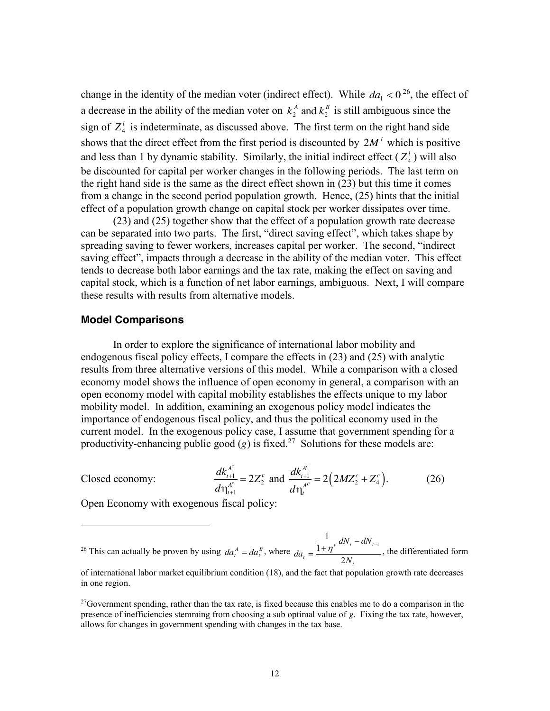change in the identity of the median voter (indirect effect). While  $da_1 < 0^{26}$ , the effect of a decrease in the ability of the median voter on  $k_2^A$  and  $k_2^B$  is still ambiguous since the sign of  $Z_4^l$  is indeterminate, as discussed above. The first term on the right hand side shows that the direct effect from the first period is discounted by  $2M<sup>l</sup>$  which is positive and less than 1 by dynamic stability. Similarly, the initial indirect effect  $(Z_4^l)$  will also be discounted for capital per worker changes in the following periods. The last term on the right hand side is the same as the direct effect shown in (23) but this time it comes from a change in the second period population growth. Hence, (25) hints that the initial effect of a population growth change on capital stock per worker dissipates over time.

(23) and (25) together show that the effect of a population growth rate decrease can be separated into two parts. The first, "direct saving effect", which takes shape by spreading saving to fewer workers, increases capital per worker. The second, "indirect saving effect", impacts through a decrease in the ability of the median voter. This effect tends to decrease both labor earnings and the tax rate, making the effect on saving and capital stock, which is a function of net labor earnings, ambiguous. Next, I will compare these results with results from alternative models.

#### **Model Comparisons**

In order to explore the significance of international labor mobility and endogenous fiscal policy effects, I compare the effects in (23) and (25) with analytic results from three alternative versions of this model. While a comparison with a closed economy model shows the influence of open economy in general, a comparison with an open economy model with capital mobility establishes the effects unique to my labor mobility model. In addition, examining an exogenous policy model indicates the importance of endogenous fiscal policy, and thus the political economy used in the current model. In the exogenous policy case, I assume that government spending for a productivity-enhancing public good  $(g)$  is fixed.<sup>27</sup> Solutions for these models are:

Closed economy:

 $\overline{a}$ 

$$
\frac{dk_{t+1}^{A^c}}{d\eta_{t+1}^{A^c}} = 2Z_2^c \text{ and } \frac{dk_{t+1}^{A^c}}{d\eta_t^{A^c}} = 2(2MZ_2^c + Z_4^c). \tag{26}
$$

Open Economy with exogenous fiscal policy:

<sup>26</sup> This can actually be proven by using  $da_t^A = da_t^B$ , where  $da_t = \frac{1 + \eta^*}{A}$ *t*  $t$ <sup>-</sup> 2N  $dN_{t} - dN$  $da_{t} = \frac{1 + \eta}{2}$ 1  $=\frac{1}{1+\eta^*}dN_t-dN_{t-1}}$ , the differentiated form

of international labor market equilibrium condition (18), and the fact that population growth rate decreases in one region.

 $^{27}$ Government spending, rather than the tax rate, is fixed because this enables me to do a comparison in the presence of inefficiencies stemming from choosing a sub optimal value of *g*. Fixing the tax rate, however, allows for changes in government spending with changes in the tax base.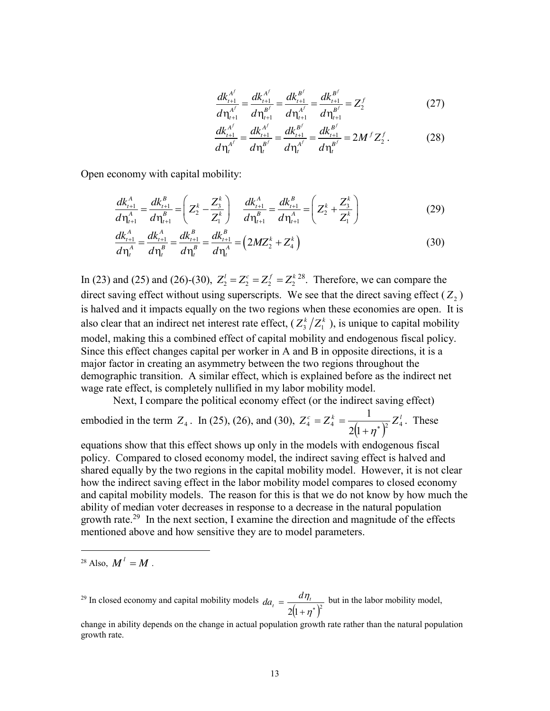$$
\frac{dk_{t+1}^{A^f}}{d\eta_{t+1}^{A^f}} = \frac{dk_{t+1}^{A^f}}{d\eta_{t+1}^{B^f}} = \frac{dk_{t+1}^{B^f}}{d\eta_{t+1}^{A^f}} = \frac{dk_{t+1}^{B^f}}{d\eta_{t+1}^{B^f}} = Z_2^f
$$
\n(27)

$$
\frac{dk_{t+1}^{A^f}}{d\eta_t^{A^f}} = \frac{dk_{t+1}^{A^f}}{d\eta_t^{B^f}} = \frac{dk_{t+1}^{B^f}}{d\eta_t^{A^f}} = \frac{dk_{t+1}^{B^f}}{d\eta_t^{B^f}} = 2M^f Z_2^f.
$$
 (28)

Open economy with capital mobility:

$$
\frac{dk_{t+1}^A}{d\eta_{t+1}^A} = \frac{dk_{t+1}^B}{d\eta_{t+1}^B} = \left(Z_2^k - \frac{Z_3^k}{Z_1^k}\right) \quad \frac{dk_{t+1}^A}{d\eta_{t+1}^B} = \frac{dk_{t+1}^B}{d\eta_{t+1}^A} = \left(Z_2^k + \frac{Z_3^k}{Z_1^k}\right)
$$
(29)

$$
\frac{dk_{t+1}^A}{d\eta_t^A} = \frac{dk_{t+1}^A}{d\eta_t^B} = \frac{dk_{t+1}^B}{d\eta_t^A} = \left(2MZ_2^k + Z_4^k\right)
$$
\n(30)

In (23) and (25) and (26)-(30),  $Z_2^l = Z_2^c = Z_2^f = Z_2^{k \ 28}$ . Therefore, we can compare the direct saving effect without using superscripts. We see that the direct saving effect  $(Z_2)$ is halved and it impacts equally on the two regions when these economies are open. It is also clear that an indirect net interest rate effect,  $(Z_3^k/Z_1^k)$ , is unique to capital mobility model, making this a combined effect of capital mobility and endogenous fiscal policy. Since this effect changes capital per worker in A and B in opposite directions, it is a major factor in creating an asymmetry between the two regions throughout the demographic transition. A similar effect, which is explained before as the indirect net wage rate effect, is completely nullified in my labor mobility model.

Next, I compare the political economy effect (or the indirect saving effect)

embodied in the term  $Z_4$ . In (25), (26), and (30),  $Z_4^c = Z_4^k = \frac{1}{2(1+\eta^*)^2} Z_4^l$ 1  $+\eta^*$  $=Z_{4}^{k}=$  $\eta$ . These

equations show that this effect shows up only in the models with endogenous fiscal policy. Compared to closed economy model, the indirect saving effect is halved and shared equally by the two regions in the capital mobility model. However, it is not clear how the indirect saving effect in the labor mobility model compares to closed economy and capital mobility models. The reason for this is that we do not know by how much the ability of median voter decreases in response to a decrease in the natural population growth rate.<sup>29</sup> In the next section, I examine the direction and magnitude of the effects mentioned above and how sensitive they are to model parameters.

<sup>28</sup> Also,  $M^l = M$ .

 $\overline{a}$ 

<sup>29</sup> In closed economy and capital mobility models  $2(1 + \eta^*)^2$  $=$  $\eta$  $\frac{d\eta_i}{dt} = \frac{d\eta_i}{dt}$  $da_t = \frac{d\eta_t}{\sqrt{d\eta_t}}$  but in the labor mobility model,

change in ability depends on the change in actual population growth rate rather than the natural population growth rate.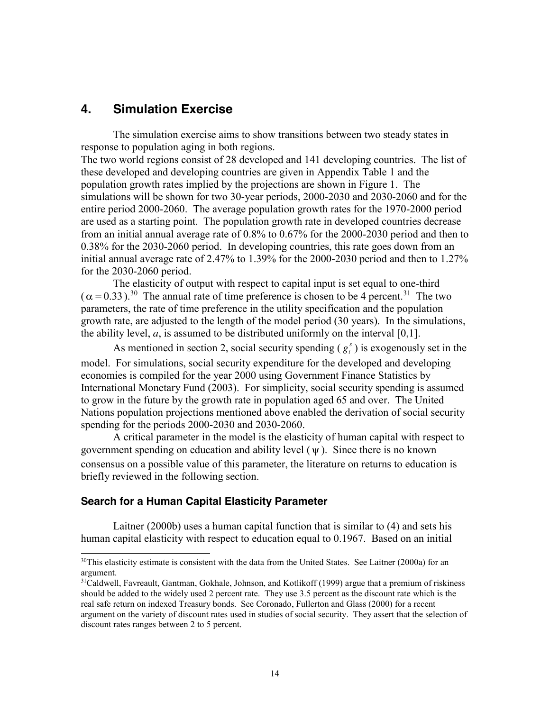# **4. Simulation Exercise**

The simulation exercise aims to show transitions between two steady states in response to population aging in both regions.

The two world regions consist of 28 developed and 141 developing countries. The list of these developed and developing countries are given in Appendix Table 1 and the population growth rates implied by the projections are shown in Figure 1. The simulations will be shown for two 30-year periods, 2000-2030 and 2030-2060 and for the entire period 2000-2060. The average population growth rates for the 1970-2000 period are used as a starting point. The population growth rate in developed countries decrease from an initial annual average rate of 0.8% to 0.67% for the 2000-2030 period and then to 0.38% for the 2030-2060 period. In developing countries, this rate goes down from an initial annual average rate of 2.47% to 1.39% for the 2000-2030 period and then to 1.27% for the 2030-2060 period.

The elasticity of output with respect to capital input is set equal to one-third  $(\alpha = 0.33)$ .<sup>30</sup> The annual rate of time preference is chosen to be 4 percent.<sup>31</sup> The two parameters, the rate of time preference in the utility specification and the population growth rate, are adjusted to the length of the model period (30 years). In the simulations, the ability level,  $a$ , is assumed to be distributed uniformly on the interval  $[0,1]$ .

As mentioned in section 2, social security spending  $(g_t^s)$  is exogenously set in the model. For simulations, social security expenditure for the developed and developing economies is compiled for the year 2000 using Government Finance Statistics by International Monetary Fund (2003). For simplicity, social security spending is assumed to grow in the future by the growth rate in population aged 65 and over. The United Nations population projections mentioned above enabled the derivation of social security spending for the periods 2000-2030 and 2030-2060.

A critical parameter in the model is the elasticity of human capital with respect to government spending on education and ability level  $(\psi)$ . Since there is no known consensus on a possible value of this parameter, the literature on returns to education is briefly reviewed in the following section.

#### **Search for a Human Capital Elasticity Parameter**

Laitner (2000b) uses a human capital function that is similar to (4) and sets his human capital elasticity with respect to education equal to 0.1967. Based on an initial

 $30$ This elasticity estimate is consistent with the data from the United States. See Laitner (2000a) for an argument.

<sup>&</sup>lt;sup>31</sup>Caldwell, Favreault, Gantman, Gokhale, Johnson, and Kotlikoff (1999) argue that a premium of riskiness should be added to the widely used 2 percent rate. They use 3.5 percent as the discount rate which is the real safe return on indexed Treasury bonds. See Coronado, Fullerton and Glass (2000) for a recent argument on the variety of discount rates used in studies of social security. They assert that the selection of discount rates ranges between 2 to 5 percent.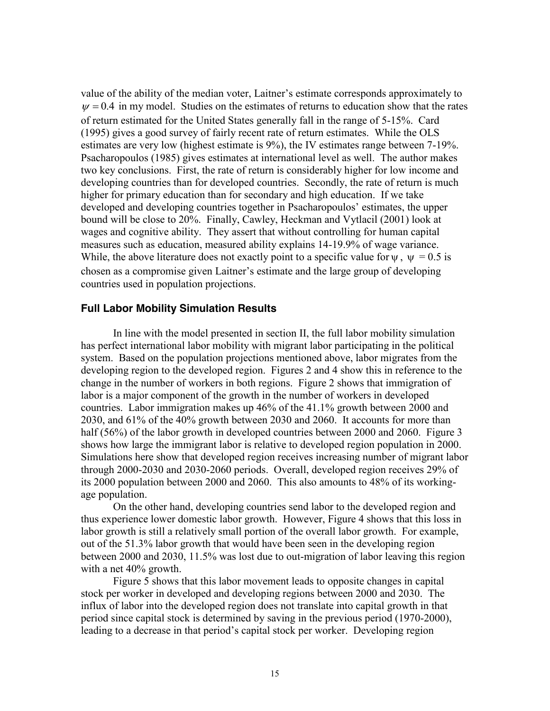value of the ability of the median voter, Laitner's estimate corresponds approximately to  $\nu = 0.4$  in my model. Studies on the estimates of returns to education show that the rates of return estimated for the United States generally fall in the range of 5-15%. Card (1995) gives a good survey of fairly recent rate of return estimates. While the OLS estimates are very low (highest estimate is 9%), the IV estimates range between 7-19%. Psacharopoulos (1985) gives estimates at international level as well. The author makes two key conclusions. First, the rate of return is considerably higher for low income and developing countries than for developed countries. Secondly, the rate of return is much higher for primary education than for secondary and high education. If we take developed and developing countries together in Psacharopoulos' estimates, the upper bound will be close to 20%. Finally, Cawley, Heckman and Vytlacil (2001) look at wages and cognitive ability. They assert that without controlling for human capital measures such as education, measured ability explains 14-19.9% of wage variance. While, the above literature does not exactly point to a specific value for  $\psi$ ,  $\psi$  = 0.5 is chosen as a compromise given Laitner's estimate and the large group of developing countries used in population projections.

#### **Full Labor Mobility Simulation Results**

In line with the model presented in section II, the full labor mobility simulation has perfect international labor mobility with migrant labor participating in the political system. Based on the population projections mentioned above, labor migrates from the developing region to the developed region. Figures 2 and 4 show this in reference to the change in the number of workers in both regions. Figure 2 shows that immigration of labor is a major component of the growth in the number of workers in developed countries. Labor immigration makes up 46% of the 41.1% growth between 2000 and 2030, and 61% of the 40% growth between 2030 and 2060. It accounts for more than half (56%) of the labor growth in developed countries between 2000 and 2060. Figure 3 shows how large the immigrant labor is relative to developed region population in 2000. Simulations here show that developed region receives increasing number of migrant labor through 2000-2030 and 2030-2060 periods. Overall, developed region receives 29% of its 2000 population between 2000 and 2060. This also amounts to 48% of its workingage population.

On the other hand, developing countries send labor to the developed region and thus experience lower domestic labor growth. However, Figure 4 shows that this loss in labor growth is still a relatively small portion of the overall labor growth. For example, out of the 51.3% labor growth that would have been seen in the developing region between 2000 and 2030, 11.5% was lost due to out-migration of labor leaving this region with a net 40% growth.

Figure 5 shows that this labor movement leads to opposite changes in capital stock per worker in developed and developing regions between 2000 and 2030. The influx of labor into the developed region does not translate into capital growth in that period since capital stock is determined by saving in the previous period (1970-2000), leading to a decrease in that period's capital stock per worker. Developing region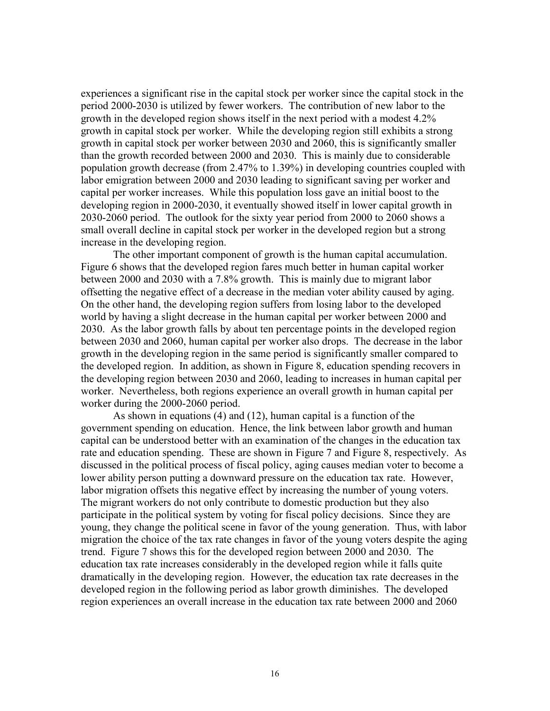experiences a significant rise in the capital stock per worker since the capital stock in the period 2000-2030 is utilized by fewer workers. The contribution of new labor to the growth in the developed region shows itself in the next period with a modest 4.2% growth in capital stock per worker. While the developing region still exhibits a strong growth in capital stock per worker between 2030 and 2060, this is significantly smaller than the growth recorded between 2000 and 2030. This is mainly due to considerable population growth decrease (from 2.47% to 1.39%) in developing countries coupled with labor emigration between 2000 and 2030 leading to significant saving per worker and capital per worker increases. While this population loss gave an initial boost to the developing region in 2000-2030, it eventually showed itself in lower capital growth in 2030-2060 period. The outlook for the sixty year period from 2000 to 2060 shows a small overall decline in capital stock per worker in the developed region but a strong increase in the developing region.

The other important component of growth is the human capital accumulation. Figure 6 shows that the developed region fares much better in human capital worker between 2000 and 2030 with a 7.8% growth. This is mainly due to migrant labor offsetting the negative effect of a decrease in the median voter ability caused by aging. On the other hand, the developing region suffers from losing labor to the developed world by having a slight decrease in the human capital per worker between 2000 and 2030. As the labor growth falls by about ten percentage points in the developed region between 2030 and 2060, human capital per worker also drops. The decrease in the labor growth in the developing region in the same period is significantly smaller compared to the developed region. In addition, as shown in Figure 8, education spending recovers in the developing region between 2030 and 2060, leading to increases in human capital per worker. Nevertheless, both regions experience an overall growth in human capital per worker during the 2000-2060 period.

As shown in equations (4) and (12), human capital is a function of the government spending on education. Hence, the link between labor growth and human capital can be understood better with an examination of the changes in the education tax rate and education spending. These are shown in Figure 7 and Figure 8, respectively. As discussed in the political process of fiscal policy, aging causes median voter to become a lower ability person putting a downward pressure on the education tax rate. However, labor migration offsets this negative effect by increasing the number of young voters. The migrant workers do not only contribute to domestic production but they also participate in the political system by voting for fiscal policy decisions. Since they are young, they change the political scene in favor of the young generation. Thus, with labor migration the choice of the tax rate changes in favor of the young voters despite the aging trend. Figure 7 shows this for the developed region between 2000 and 2030. The education tax rate increases considerably in the developed region while it falls quite dramatically in the developing region. However, the education tax rate decreases in the developed region in the following period as labor growth diminishes. The developed region experiences an overall increase in the education tax rate between 2000 and 2060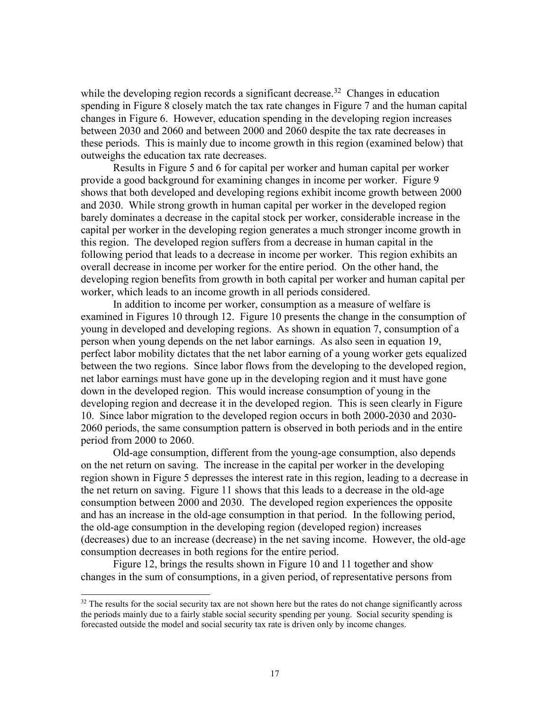while the developing region records a significant decrease.<sup>32</sup> Changes in education spending in Figure 8 closely match the tax rate changes in Figure 7 and the human capital changes in Figure 6. However, education spending in the developing region increases between 2030 and 2060 and between 2000 and 2060 despite the tax rate decreases in these periods. This is mainly due to income growth in this region (examined below) that outweighs the education tax rate decreases.

Results in Figure 5 and 6 for capital per worker and human capital per worker provide a good background for examining changes in income per worker. Figure 9 shows that both developed and developing regions exhibit income growth between 2000 and 2030. While strong growth in human capital per worker in the developed region barely dominates a decrease in the capital stock per worker, considerable increase in the capital per worker in the developing region generates a much stronger income growth in this region. The developed region suffers from a decrease in human capital in the following period that leads to a decrease in income per worker. This region exhibits an overall decrease in income per worker for the entire period. On the other hand, the developing region benefits from growth in both capital per worker and human capital per worker, which leads to an income growth in all periods considered.

In addition to income per worker, consumption as a measure of welfare is examined in Figures 10 through 12. Figure 10 presents the change in the consumption of young in developed and developing regions. As shown in equation 7, consumption of a person when young depends on the net labor earnings. As also seen in equation 19, perfect labor mobility dictates that the net labor earning of a young worker gets equalized between the two regions. Since labor flows from the developing to the developed region, net labor earnings must have gone up in the developing region and it must have gone down in the developed region. This would increase consumption of young in the developing region and decrease it in the developed region. This is seen clearly in Figure 10. Since labor migration to the developed region occurs in both 2000-2030 and 2030- 2060 periods, the same consumption pattern is observed in both periods and in the entire period from 2000 to 2060.

Old-age consumption, different from the young-age consumption, also depends on the net return on saving. The increase in the capital per worker in the developing region shown in Figure 5 depresses the interest rate in this region, leading to a decrease in the net return on saving. Figure 11 shows that this leads to a decrease in the old-age consumption between 2000 and 2030. The developed region experiences the opposite and has an increase in the old-age consumption in that period. In the following period, the old-age consumption in the developing region (developed region) increases (decreases) due to an increase (decrease) in the net saving income. However, the old-age consumption decreases in both regions for the entire period.

Figure 12, brings the results shown in Figure 10 and 11 together and show changes in the sum of consumptions, in a given period, of representative persons from

 $32$  The results for the social security tax are not shown here but the rates do not change significantly across the periods mainly due to a fairly stable social security spending per young. Social security spending is forecasted outside the model and social security tax rate is driven only by income changes.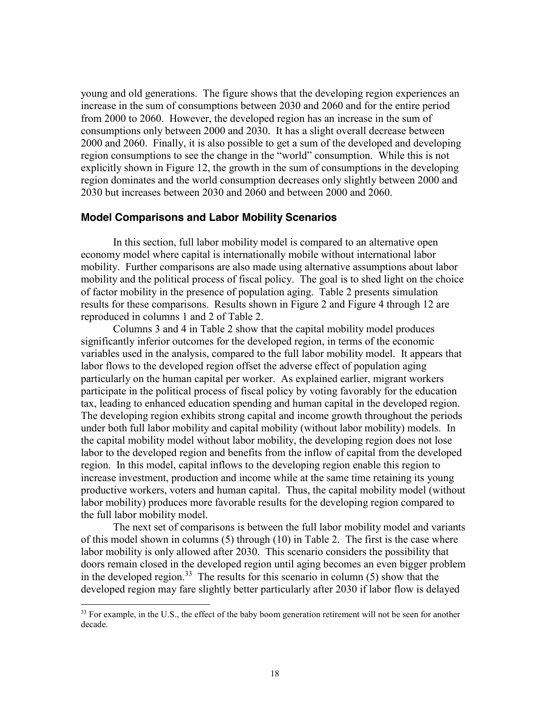young and old generations. The figure shows that the developing region experiences an increase in the sum of consumptions between 2030 and 2060 and for the entire period from 2000 to 2060. However, the developed region has an increase in the sum of consumptions only between 2000 and 2030. It has a slight overall decrease between 2000 and 2060. Finally, it is also possible to get a sum of the developed and developing region consumptions to see the change in the "world" consumption. While this is not explicitly shown in Figure 12, the growth in the sum of consumptions in the developing region dominates and the world consumption decreases only slightly between 2000 and 2030 but increases between 2030 and 2060 and between 2000 and 2060.

#### **Model Comparisons and Labor Mobility Scenarios**

In this section, full labor mobility model is compared to an alternative open economy model where capital is internationally mobile without international labor mobility. Further comparisons are also made using alternative assumptions about labor mobility and the political process of fiscal policy. The goal is to shed light on the choice of factor mobility in the presence of population aging. Table 2 presents simulation results for these comparisons. Results shown in Figure 2 and Figure 4 through 12 are reproduced in columns 1 and 2 of Table 2.

Columns 3 and 4 in Table 2 show that the capital mobility model produces significantly inferior outcomes for the developed region, in terms of the economic variables used in the analysis, compared to the full labor mobility model. It appears that labor flows to the developed region offset the adverse effect of population aging particularly on the human capital per worker. As explained earlier, migrant workers participate in the political process of fiscal policy by voting favorably for the education tax, leading to enhanced education spending and human capital in the developed region. The developing region exhibits strong capital and income growth throughout the periods under both full labor mobility and capital mobility (without labor mobility) models. In the capital mobility model without labor mobility, the developing region does not lose labor to the developed region and benefits from the inflow of capital from the developed region. In this model, capital inflows to the developing region enable this region to increase investment, production and income while at the same time retaining its young productive workers, voters and human capital. Thus, the capital mobility model (without labor mobility) produces more favorable results for the developing region compared to the full labor mobility model.

The next set of comparisons is between the full labor mobility model and variants of this model shown in columns (5) through (10) in Table 2. The first is the case where labor mobility is only allowed after 2030. This scenario considers the possibility that doors remain closed in the developed region until aging becomes an even bigger problem in the developed region.<sup>33</sup> The results for this scenario in column  $(5)$  show that the developed region may fare slightly better particularly after 2030 if labor flow is delayed

<sup>&</sup>lt;sup>33</sup> For example, in the U.S., the effect of the baby boom generation retirement will not be seen for another decade.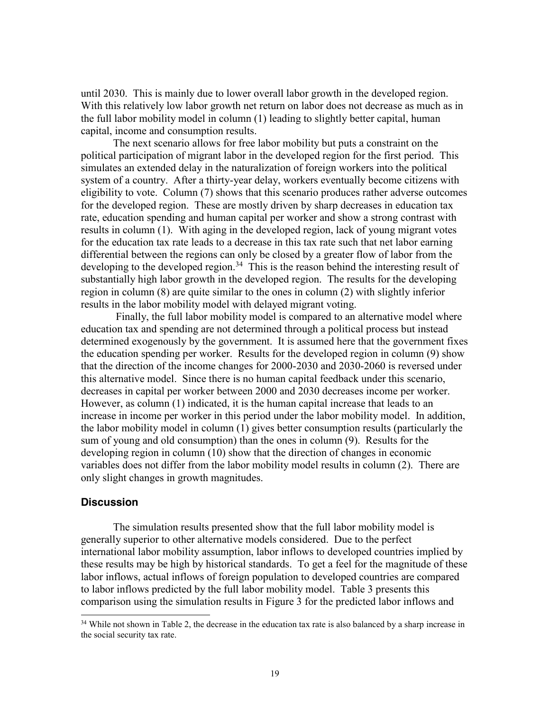until 2030. This is mainly due to lower overall labor growth in the developed region. With this relatively low labor growth net return on labor does not decrease as much as in the full labor mobility model in column (1) leading to slightly better capital, human capital, income and consumption results.

The next scenario allows for free labor mobility but puts a constraint on the political participation of migrant labor in the developed region for the first period. This simulates an extended delay in the naturalization of foreign workers into the political system of a country. After a thirty-year delay, workers eventually become citizens with eligibility to vote. Column (7) shows that this scenario produces rather adverse outcomes for the developed region. These are mostly driven by sharp decreases in education tax rate, education spending and human capital per worker and show a strong contrast with results in column (1). With aging in the developed region, lack of young migrant votes for the education tax rate leads to a decrease in this tax rate such that net labor earning differential between the regions can only be closed by a greater flow of labor from the developing to the developed region.<sup>34</sup> This is the reason behind the interesting result of substantially high labor growth in the developed region. The results for the developing region in column (8) are quite similar to the ones in column (2) with slightly inferior results in the labor mobility model with delayed migrant voting.

Finally, the full labor mobility model is compared to an alternative model where education tax and spending are not determined through a political process but instead determined exogenously by the government. It is assumed here that the government fixes the education spending per worker. Results for the developed region in column (9) show that the direction of the income changes for 2000-2030 and 2030-2060 is reversed under this alternative model. Since there is no human capital feedback under this scenario, decreases in capital per worker between 2000 and 2030 decreases income per worker. However, as column (1) indicated, it is the human capital increase that leads to an increase in income per worker in this period under the labor mobility model. In addition, the labor mobility model in column (1) gives better consumption results (particularly the sum of young and old consumption) than the ones in column (9). Results for the developing region in column (10) show that the direction of changes in economic variables does not differ from the labor mobility model results in column (2). There are only slight changes in growth magnitudes.

#### **Discussion**

The simulation results presented show that the full labor mobility model is generally superior to other alternative models considered. Due to the perfect international labor mobility assumption, labor inflows to developed countries implied by these results may be high by historical standards. To get a feel for the magnitude of these labor inflows, actual inflows of foreign population to developed countries are compared to labor inflows predicted by the full labor mobility model. Table 3 presents this comparison using the simulation results in Figure 3 for the predicted labor inflows and

<sup>&</sup>lt;sup>34</sup> While not shown in Table 2, the decrease in the education tax rate is also balanced by a sharp increase in the social security tax rate.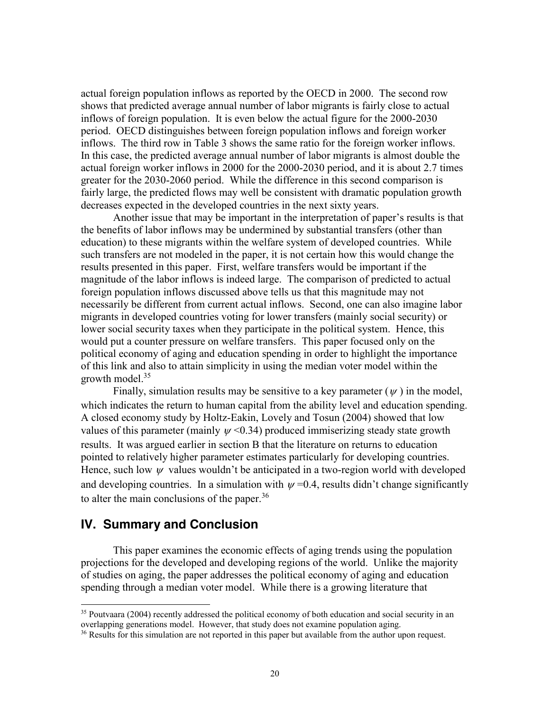actual foreign population inflows as reported by the OECD in 2000. The second row shows that predicted average annual number of labor migrants is fairly close to actual inflows of foreign population. It is even below the actual figure for the 2000-2030 period. OECD distinguishes between foreign population inflows and foreign worker inflows. The third row in Table 3 shows the same ratio for the foreign worker inflows. In this case, the predicted average annual number of labor migrants is almost double the actual foreign worker inflows in 2000 for the 2000-2030 period, and it is about 2.7 times greater for the 2030-2060 period. While the difference in this second comparison is fairly large, the predicted flows may well be consistent with dramatic population growth decreases expected in the developed countries in the next sixty years.

Another issue that may be important in the interpretation of paper's results is that the benefits of labor inflows may be undermined by substantial transfers (other than education) to these migrants within the welfare system of developed countries. While such transfers are not modeled in the paper, it is not certain how this would change the results presented in this paper. First, welfare transfers would be important if the magnitude of the labor inflows is indeed large. The comparison of predicted to actual foreign population inflows discussed above tells us that this magnitude may not necessarily be different from current actual inflows. Second, one can also imagine labor migrants in developed countries voting for lower transfers (mainly social security) or lower social security taxes when they participate in the political system. Hence, this would put a counter pressure on welfare transfers. This paper focused only on the political economy of aging and education spending in order to highlight the importance of this link and also to attain simplicity in using the median voter model within the growth model.35

Finally, simulation results may be sensitive to a key parameter  $(v)$  in the model, which indicates the return to human capital from the ability level and education spending. A closed economy study by Holtz-Eakin, Lovely and Tosun (2004) showed that low values of this parameter (mainly  $\psi$  <0.34) produced immiserizing steady state growth results. It was argued earlier in section B that the literature on returns to education pointed to relatively higher parameter estimates particularly for developing countries. Hence, such low  $\psi$  values wouldn't be anticipated in a two-region world with developed and developing countries. In a simulation with  $\psi$  =0.4, results didn't change significantly to alter the main conclusions of the paper.<sup>36</sup>

## **IV. Summary and Conclusion**

This paper examines the economic effects of aging trends using the population projections for the developed and developing regions of the world. Unlike the majority of studies on aging, the paper addresses the political economy of aging and education spending through a median voter model. While there is a growing literature that

<sup>&</sup>lt;sup>35</sup> Poutvaara (2004) recently addressed the political economy of both education and social security in an overlapping generations model. However, that study does not examine population aging.

<sup>&</sup>lt;sup>36</sup> Results for this simulation are not reported in this paper but available from the author upon request.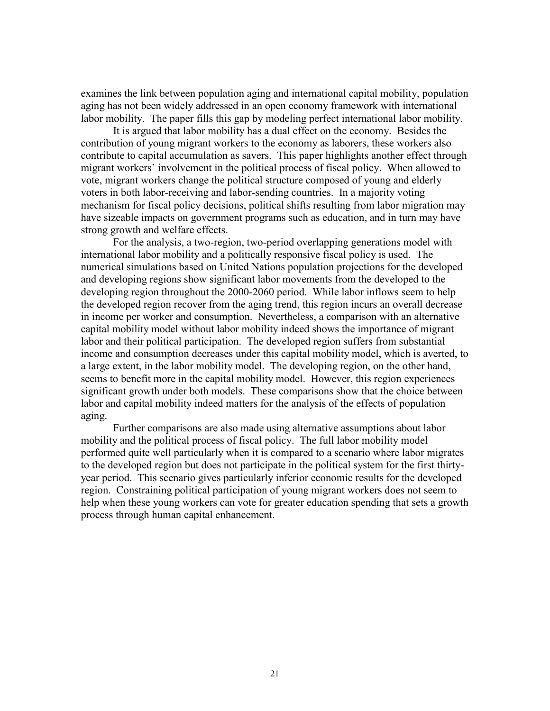examines the link between population aging and international capital mobility, population aging has not been widely addressed in an open economy framework with international labor mobility. The paper fills this gap by modeling perfect international labor mobility.

It is argued that labor mobility has a dual effect on the economy. Besides the contribution of young migrant workers to the economy as laborers, these workers also contribute to capital accumulation as savers. This paper highlights another effect through migrant workers' involvement in the political process of fiscal policy. When allowed to vote, migrant workers change the political structure composed of young and elderly voters in both labor-receiving and labor-sending countries. In a majority voting mechanism for fiscal policy decisions, political shifts resulting from labor migration may have sizeable impacts on government programs such as education, and in turn may have strong growth and welfare effects.

For the analysis, a two-region, two-period overlapping generations model with international labor mobility and a politically responsive fiscal policy is used. The numerical simulations based on United Nations population projections for the developed and developing regions show significant labor movements from the developed to the developing region throughout the 2000-2060 period. While labor inflows seem to help the developed region recover from the aging trend, this region incurs an overall decrease in income per worker and consumption. Nevertheless, a comparison with an alternative capital mobility model without labor mobility indeed shows the importance of migrant labor and their political participation. The developed region suffers from substantial income and consumption decreases under this capital mobility model, which is averted, to a large extent, in the labor mobility model. The developing region, on the other hand, seems to benefit more in the capital mobility model. However, this region experiences significant growth under both models. These comparisons show that the choice between labor and capital mobility indeed matters for the analysis of the effects of population aging.

Further comparisons are also made using alternative assumptions about labor mobility and the political process of fiscal policy. The full labor mobility model performed quite well particularly when it is compared to a scenario where labor migrates to the developed region but does not participate in the political system for the first thirtyyear period. This scenario gives particularly inferior economic results for the developed region. Constraining political participation of young migrant workers does not seem to help when these young workers can vote for greater education spending that sets a growth process through human capital enhancement.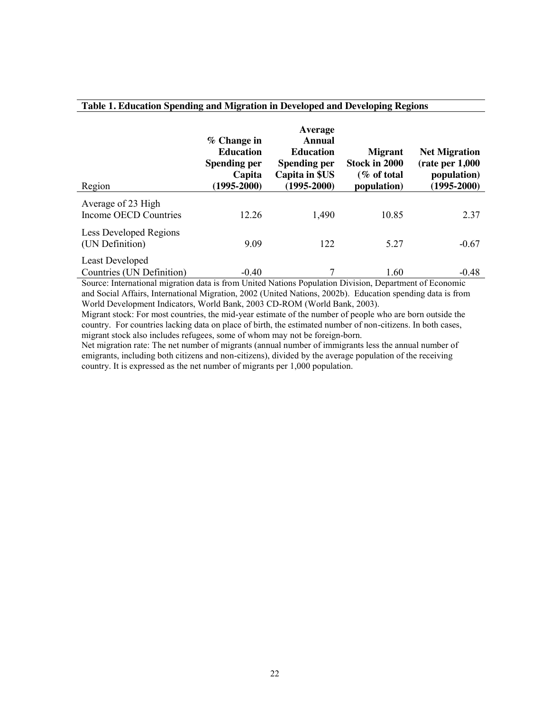| Region                                              | % Change in<br><b>Education</b><br><b>Spending per</b><br>Capita<br>$(1995 - 2000)$ | Average<br>Annual<br><b>Education</b><br><b>Spending per</b><br>Capita in \$US<br>$(1995 - 2000)$ | <b>Migrant</b><br>Stock in 2000<br>(% of total<br>population) | <b>Net Migration</b><br>(rate per 1,000)<br>population)<br>$(1995 - 2000)$ |
|-----------------------------------------------------|-------------------------------------------------------------------------------------|---------------------------------------------------------------------------------------------------|---------------------------------------------------------------|----------------------------------------------------------------------------|
| Average of 23 High<br>Income OECD Countries         | 12.26                                                                               | 1,490                                                                                             | 10.85                                                         | 2.37                                                                       |
| Less Developed Regions<br>(UN Definition)           | 9.09                                                                                | 122                                                                                               | 5.27                                                          | $-0.67$                                                                    |
| <b>Least Developed</b><br>Countries (UN Definition) | $-0.40$                                                                             | 7                                                                                                 | 1.60                                                          | $-0.48$                                                                    |

#### **Table 1. Education Spending and Migration in Developed and Developing Regions**

Source: International migration data is from United Nations Population Division, Department of Economic and Social Affairs, International Migration, 2002 (United Nations, 2002b). Education spending data is from World Development Indicators, World Bank, 2003 CD-ROM (World Bank, 2003).

Migrant stock: For most countries, the mid-year estimate of the number of people who are born outside the country. For countries lacking data on place of birth, the estimated number of non-citizens. In both cases, migrant stock also includes refugees, some of whom may not be foreign-born.

Net migration rate: The net number of migrants (annual number of immigrants less the annual number of emigrants, including both citizens and non-citizens), divided by the average population of the receiving country. It is expressed as the net number of migrants per 1,000 population.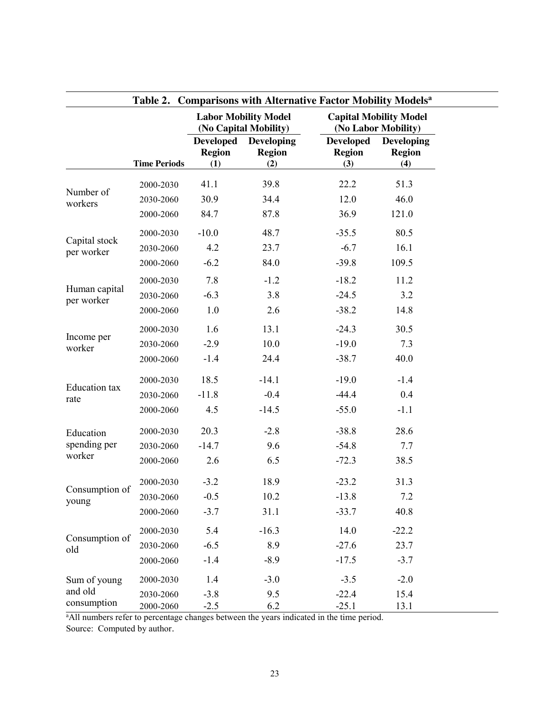|                              |                     | <b>Labor Mobility Model</b><br>(No Capital Mobility) |                                                                                                             | <b>Capital Mobility Model</b><br>(No Labor Mobility) |                                           |
|------------------------------|---------------------|------------------------------------------------------|-------------------------------------------------------------------------------------------------------------|------------------------------------------------------|-------------------------------------------|
|                              | <b>Time Periods</b> | <b>Region</b><br>(1)                                 | <b>Developed</b> Developing<br><b>Region</b><br>(2)                                                         | <b>Developed</b><br><b>Region</b><br>(3)             | <b>Developing</b><br><b>Region</b><br>(4) |
| Number of<br>workers         | 2000-2030           | 41.1                                                 | 39.8                                                                                                        | 22.2                                                 | 51.3                                      |
|                              | 2030-2060           | 30.9                                                 | 34.4                                                                                                        | 12.0                                                 | 46.0                                      |
|                              | 2000-2060           | 84.7                                                 | 87.8                                                                                                        | 36.9                                                 | 121.0                                     |
|                              | 2000-2030           | $-10.0$                                              | 48.7                                                                                                        | $-35.5$                                              | 80.5                                      |
| Capital stock<br>per worker  | 2030-2060           | 4.2                                                  | 23.7                                                                                                        | $-6.7$                                               | 16.1                                      |
|                              | 2000-2060           | $-6.2$                                               | 84.0                                                                                                        | $-39.8$                                              | 109.5                                     |
|                              | 2000-2030           | 7.8                                                  | $-1.2$                                                                                                      | $-18.2$                                              | 11.2                                      |
| Human capital<br>per worker  | 2030-2060           | $-6.3$                                               | 3.8                                                                                                         | $-24.5$                                              | 3.2                                       |
|                              | 2000-2060           | 1.0                                                  | 2.6                                                                                                         | $-38.2$                                              | 14.8                                      |
| Income per<br>worker         | 2000-2030           | 1.6                                                  | 13.1                                                                                                        | $-24.3$                                              | 30.5                                      |
|                              | 2030-2060           | $-2.9$                                               | 10.0                                                                                                        | $-19.0$                                              | 7.3                                       |
|                              | 2000-2060           | $-1.4$                                               | 24.4                                                                                                        | $-38.7$                                              | 40.0                                      |
|                              | 2000-2030           | 18.5                                                 | $-14.1$                                                                                                     | $-19.0$                                              | $-1.4$                                    |
| <b>Education</b> tax<br>rate | 2030-2060           | $-11.8$                                              | $-0.4$                                                                                                      | $-44.4$                                              | 0.4                                       |
|                              | 2000-2060           | 4.5                                                  | $-14.5$                                                                                                     | $-55.0$                                              | $-1.1$                                    |
| Education                    | 2000-2030           | 20.3                                                 | $-2.8$                                                                                                      | $-38.8$                                              | 28.6                                      |
| spending per                 | 2030-2060           | $-14.7$                                              | 9.6                                                                                                         | $-54.8$                                              | 7.7                                       |
| worker                       | 2000-2060           | 2.6                                                  | 6.5                                                                                                         | $-72.3$                                              | 38.5                                      |
|                              | 2000-2030           | $-3.2$                                               | 18.9                                                                                                        | $-23.2$                                              | 31.3                                      |
| Consumption of<br>young      | 2030-2060           | $-0.5$                                               | 10.2                                                                                                        | $-13.8$                                              | 7.2                                       |
|                              | 2000-2060           | $-3.7$                                               | 31.1                                                                                                        | $-33.7$                                              | 40.8                                      |
|                              | 2000-2030           | 5.4                                                  | $-16.3$                                                                                                     | 14.0                                                 | $-22.2$                                   |
| Consumption of<br>old        | 2030-2060           | $-6.5$                                               | 8.9                                                                                                         | $-27.6$                                              | 23.7                                      |
|                              | 2000-2060           | $-1.4$                                               | $-8.9$                                                                                                      | $-17.5$                                              | $-3.7$                                    |
| Sum of young                 | 2000-2030           | 1.4                                                  | $-3.0$                                                                                                      | $-3.5$                                               | $-2.0$                                    |
| and old                      | 2030-2060           | $-3.8$                                               | 9.5                                                                                                         | $-22.4$                                              | 15.4                                      |
| consumption                  | 2000-2060           | $-2.5$                                               | 6.2<br><sup>a</sup> All numbers refer to percentage changes between the years indicated in the time period. | $-25.1$                                              | 13.1                                      |

Source: Computed by author.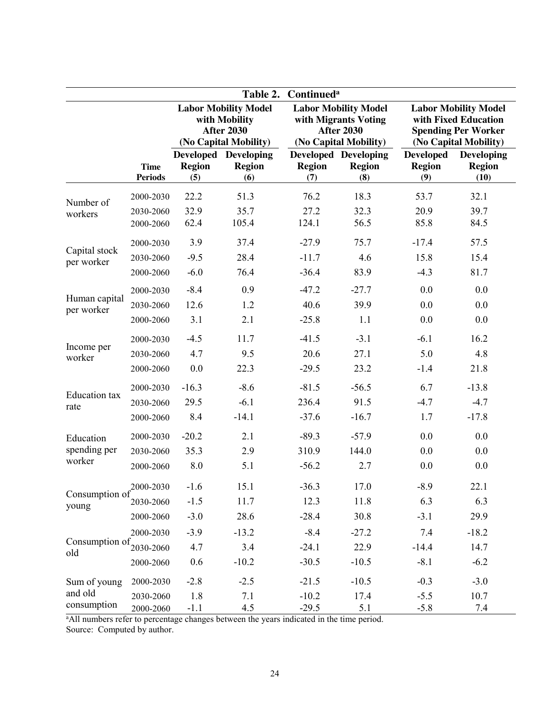| Table 2.<br><b>Continued</b> <sup>a</sup>                                                                           |                               |                                                                                            |                                                     |                                                                                                   |                                                     |                                                                                                            |                                            |
|---------------------------------------------------------------------------------------------------------------------|-------------------------------|--------------------------------------------------------------------------------------------|-----------------------------------------------------|---------------------------------------------------------------------------------------------------|-----------------------------------------------------|------------------------------------------------------------------------------------------------------------|--------------------------------------------|
|                                                                                                                     |                               | <b>Labor Mobility Model</b><br>with Mobility<br><b>After 2030</b><br>(No Capital Mobility) |                                                     | <b>Labor Mobility Model</b><br>with Migrants Voting<br><b>After 2030</b><br>(No Capital Mobility) |                                                     | <b>Labor Mobility Model</b><br>with Fixed Education<br><b>Spending Per Worker</b><br>(No Capital Mobility) |                                            |
|                                                                                                                     | <b>Time</b><br><b>Periods</b> | <b>Region</b><br>(5)                                                                       | <b>Developed Developing</b><br><b>Region</b><br>(6) | <b>Region</b><br>(7)                                                                              | <b>Developed Developing</b><br><b>Region</b><br>(8) | <b>Developed</b><br><b>Region</b><br>(9)                                                                   | <b>Developing</b><br><b>Region</b><br>(10) |
|                                                                                                                     | 2000-2030                     | 22.2                                                                                       | 51.3                                                | 76.2                                                                                              | 18.3                                                | 53.7                                                                                                       | 32.1                                       |
| Number of<br>workers                                                                                                | 2030-2060                     | 32.9                                                                                       | 35.7                                                | 27.2                                                                                              | 32.3                                                | 20.9                                                                                                       | 39.7                                       |
|                                                                                                                     | 2000-2060                     | 62.4                                                                                       | 105.4                                               | 124.1                                                                                             | 56.5                                                | 85.8                                                                                                       | 84.5                                       |
|                                                                                                                     | 2000-2030                     | 3.9                                                                                        | 37.4                                                | $-27.9$                                                                                           | 75.7                                                | $-17.4$                                                                                                    | 57.5                                       |
| Capital stock<br>per worker                                                                                         | 2030-2060                     | $-9.5$                                                                                     | 28.4                                                | $-11.7$                                                                                           | 4.6                                                 | 15.8                                                                                                       | 15.4                                       |
|                                                                                                                     | 2000-2060                     | $-6.0$                                                                                     | 76.4                                                | $-36.4$                                                                                           | 83.9                                                | $-4.3$                                                                                                     | 81.7                                       |
|                                                                                                                     | 2000-2030                     | $-8.4$                                                                                     | 0.9                                                 | $-47.2$                                                                                           | $-27.7$                                             | 0.0                                                                                                        | 0.0                                        |
| Human capital<br>per worker                                                                                         | 2030-2060                     | 12.6                                                                                       | 1.2                                                 | 40.6                                                                                              | 39.9                                                | 0.0                                                                                                        | 0.0                                        |
|                                                                                                                     | 2000-2060                     | 3.1                                                                                        | 2.1                                                 | $-25.8$                                                                                           | 1.1                                                 | 0.0                                                                                                        | 0.0                                        |
|                                                                                                                     | 2000-2030                     | $-4.5$                                                                                     | 11.7                                                | $-41.5$                                                                                           | $-3.1$                                              | $-6.1$                                                                                                     | 16.2                                       |
| Income per<br>worker                                                                                                | 2030-2060                     | 4.7                                                                                        | 9.5                                                 | 20.6                                                                                              | 27.1                                                | 5.0                                                                                                        | 4.8                                        |
|                                                                                                                     | 2000-2060                     | 0.0                                                                                        | 22.3                                                | $-29.5$                                                                                           | 23.2                                                | $-1.4$                                                                                                     | 21.8                                       |
|                                                                                                                     | 2000-2030                     | $-16.3$                                                                                    | $-8.6$                                              | $-81.5$                                                                                           | $-56.5$                                             | 6.7                                                                                                        | $-13.8$                                    |
| <b>Education</b> tax<br>rate                                                                                        | 2030-2060                     | 29.5                                                                                       | $-6.1$                                              | 236.4                                                                                             | 91.5                                                | $-4.7$                                                                                                     | $-4.7$                                     |
|                                                                                                                     | 2000-2060                     | 8.4                                                                                        | $-14.1$                                             | $-37.6$                                                                                           | $-16.7$                                             | 1.7                                                                                                        | $-17.8$                                    |
| Education                                                                                                           | 2000-2030                     | $-20.2$                                                                                    | 2.1                                                 | $-89.3$                                                                                           | $-57.9$                                             | 0.0                                                                                                        | 0.0                                        |
| spending per                                                                                                        | 2030-2060                     | 35.3                                                                                       | 2.9                                                 | 310.9                                                                                             | 144.0                                               | 0.0                                                                                                        | 0.0                                        |
| worker                                                                                                              | 2000-2060                     | 8.0                                                                                        | 5.1                                                 | $-56.2$                                                                                           | 2.7                                                 | 0.0                                                                                                        | 0.0                                        |
| Consumption of $^{2000-2030}_{x}$<br>young                                                                          |                               | $-1.6$                                                                                     | 15.1                                                | $-36.3$                                                                                           | 17.0                                                | $-8.9$                                                                                                     | 22.1                                       |
|                                                                                                                     | 2030-2060                     | $-1.5$                                                                                     | 11.7                                                | 12.3                                                                                              | 11.8                                                | 6.3                                                                                                        | 6.3                                        |
|                                                                                                                     | 2000-2060                     | $-3.0$                                                                                     | 28.6                                                | $-28.4$                                                                                           | 30.8                                                | $-3.1$                                                                                                     | 29.9                                       |
|                                                                                                                     | 2000-2030                     | $-3.9$                                                                                     | $-13.2$                                             | $-8.4$                                                                                            | $-27.2$                                             | 7.4                                                                                                        | $-18.2$                                    |
| Consumption of<br>old                                                                                               | 2030-2060                     | 4.7                                                                                        | 3.4                                                 | $-24.1$                                                                                           | 22.9                                                | $-14.4$                                                                                                    | 14.7                                       |
|                                                                                                                     | 2000-2060                     | 0.6                                                                                        | $-10.2$                                             | $-30.5$                                                                                           | $-10.5$                                             | $-8.1$                                                                                                     | $-6.2$                                     |
| Sum of young                                                                                                        | 2000-2030                     | $-2.8$                                                                                     | $-2.5$                                              | $-21.5$                                                                                           | $-10.5$                                             | $-0.3$                                                                                                     | $-3.0$                                     |
| and old                                                                                                             | 2030-2060                     | 1.8                                                                                        | 7.1                                                 | $-10.2$                                                                                           | 17.4                                                | $-5.5$                                                                                                     | 10.7                                       |
| consumption<br><sup>a</sup> All numbers refer to percentage changes between the years indicated in the time period. | 2000-2060                     | $-1.1$                                                                                     | 4.5                                                 | $-29.5$                                                                                           | 5.1                                                 | $-5.8$                                                                                                     | 7.4                                        |

Source: Computed by author.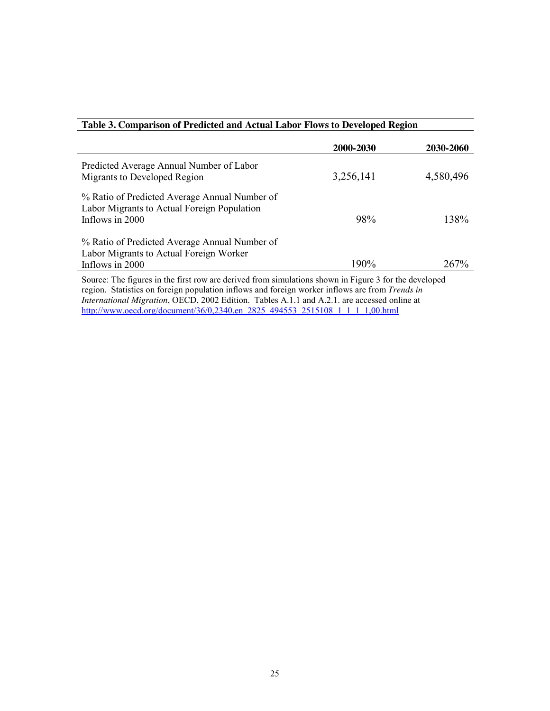| Table 3. Comparison of Predicted and Actual Labor Flows to Developed Region                                     |           |           |
|-----------------------------------------------------------------------------------------------------------------|-----------|-----------|
|                                                                                                                 | 2000-2030 | 2030-2060 |
| Predicted Average Annual Number of Labor<br>Migrants to Developed Region                                        | 3,256,141 | 4,580,496 |
| % Ratio of Predicted Average Annual Number of<br>Labor Migrants to Actual Foreign Population<br>Inflows in 2000 | 98%       | 138%      |
| % Ratio of Predicted Average Annual Number of<br>Labor Migrants to Actual Foreign Worker<br>Inflows in 2000     | 190%      | 267%      |
| Source: The figures in the first row are derived from simulations shown in Figure 3 for the developed           |           |           |

region. Statistics on foreign population inflows and foreign worker inflows are from *Trends in International Migration*, OECD, 2002 Edition. Tables A.1.1 and A.2.1. are accessed online at [http://www.oecd.org/document/36/0,2340,en\\_2825\\_494553\\_2515108\\_1\\_1\\_1\\_1,00.html](http://www.oecd.org/document/36/0,2340,en_2825_494553_2515108_1_1_1_1,00.html)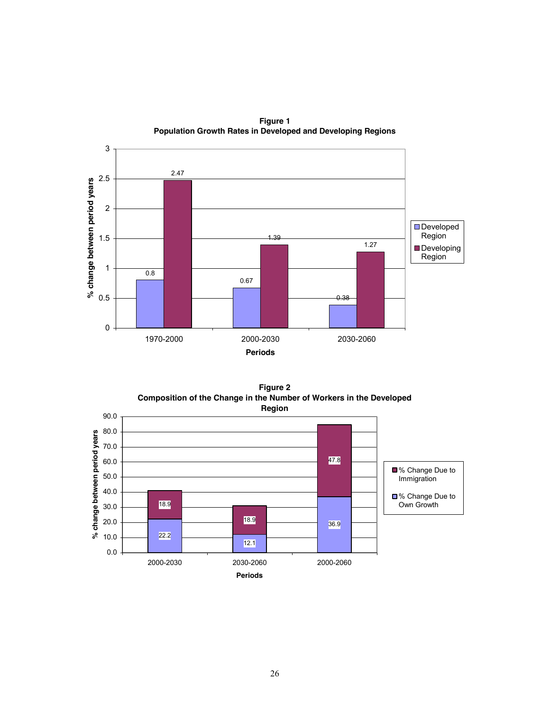

**Figure 1 Population Growth Rates in Developed and Developing Regions**

**Figure 2 Composition of the Change in the Number of Workers in the Developed Region**

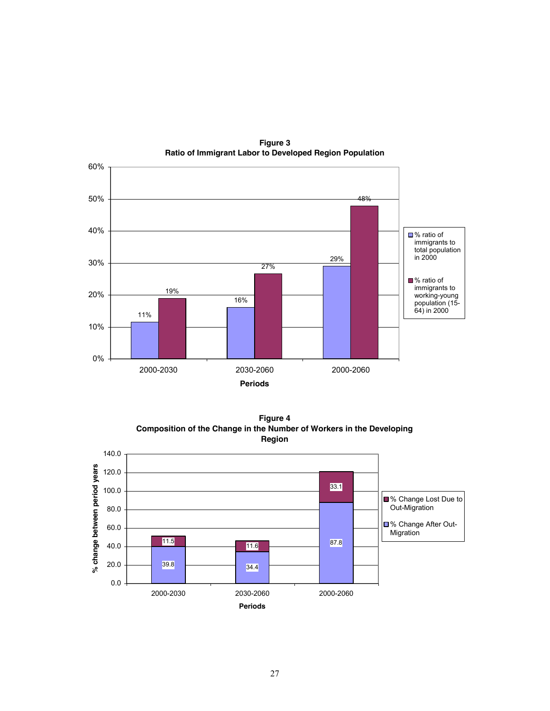

**Figure 3 Ratio of Immigrant Labor to Developed Region Population**

**Figure 4 Composition of the Change in the Number of Workers in the Developing Region**

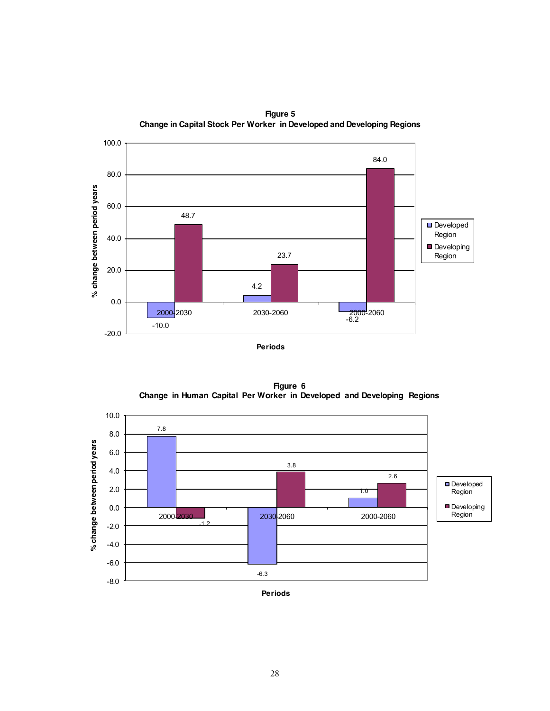

**Figure 5 Change in Capital Stock Per Worker in Developed and Developing Regions**

**Figure 6 Change in Human Capital Per Worker in Developed and Developing Regions**

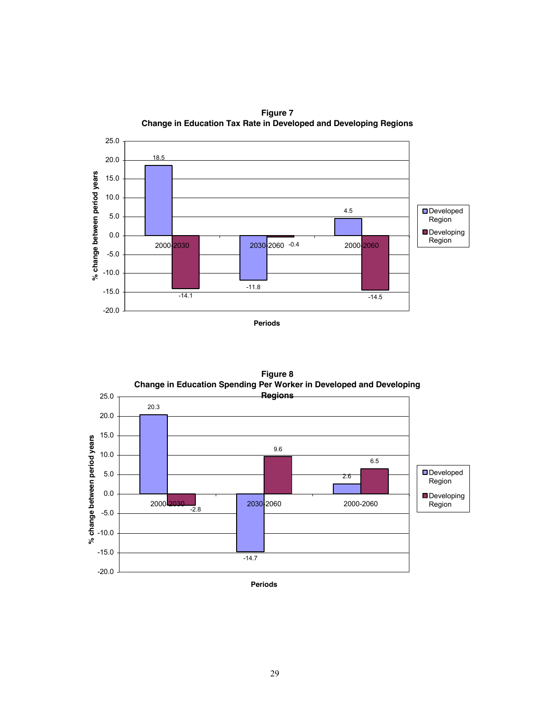

**Figure 7 Change in Education Tax Rate in Developed and Developing Regions**



**Figure 8**

**Periods**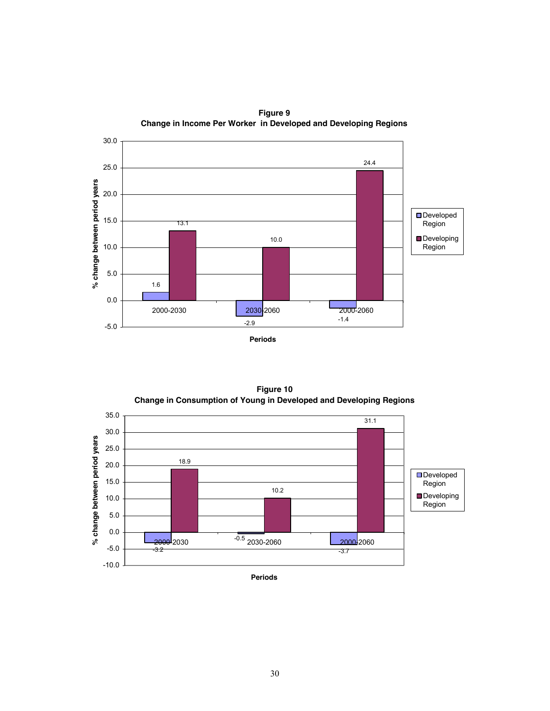

**Figure 9 Change in Income Per Worker in Developed and Developing Regions**

**Figure 10 Change in Consumption of Young in Developed and Developing Regions**

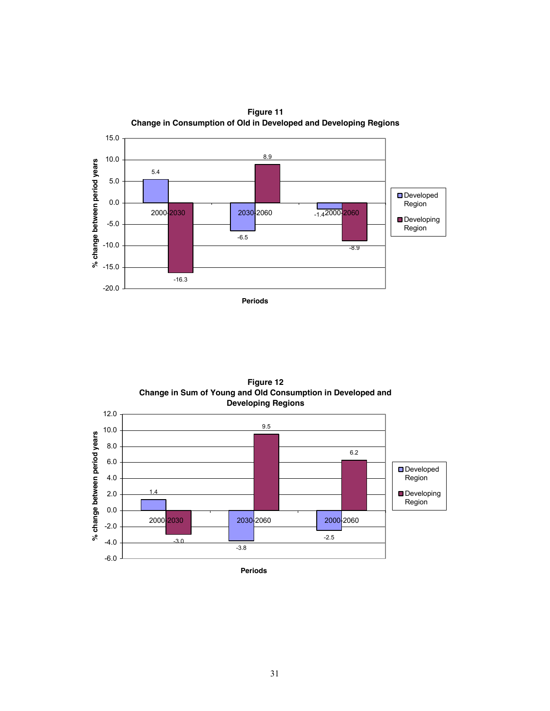

**Figure 12 Change in Sum of Young and Old Consumption in Developed and Developing Regions**



**Periods**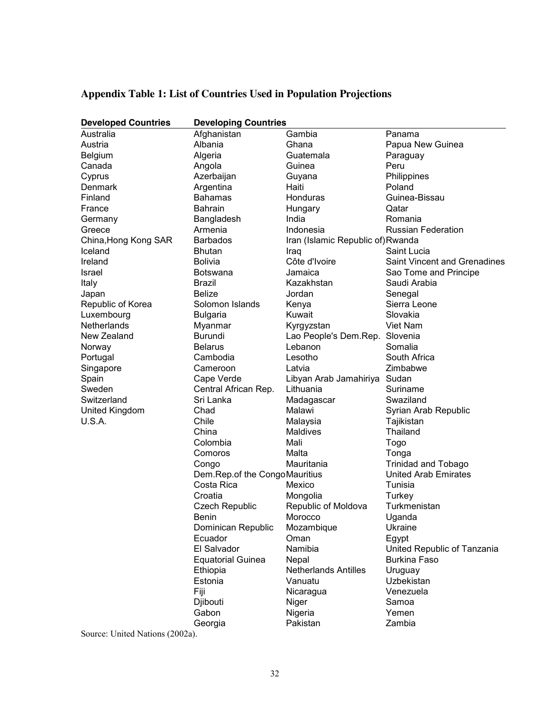| <b>Developed Countries</b>      | <b>Developing Countries</b>   |                                   |                                     |  |
|---------------------------------|-------------------------------|-----------------------------------|-------------------------------------|--|
| Australia                       | Afghanistan                   | Gambia                            | Panama                              |  |
| Austria                         | Albania                       | Ghana                             | Papua New Guinea                    |  |
| <b>Belgium</b>                  | Algeria                       | Guatemala                         | Paraguay                            |  |
| Canada                          | Angola                        | Guinea                            | Peru                                |  |
| Cyprus                          | Azerbaijan                    | Guyana                            | Philippines                         |  |
| Denmark                         | Argentina                     | Haiti                             | Poland                              |  |
| Finland                         | <b>Bahamas</b>                | Honduras                          | Guinea-Bissau                       |  |
| France                          | <b>Bahrain</b>                | Hungary                           | Qatar                               |  |
| Germany                         | Bangladesh                    | India                             | Romania                             |  |
| Greece                          | Armenia                       | Indonesia                         | <b>Russian Federation</b>           |  |
| China, Hong Kong SAR            | <b>Barbados</b>               | Iran (Islamic Republic of) Rwanda |                                     |  |
| Iceland                         | <b>Bhutan</b>                 | Iraq                              | Saint Lucia                         |  |
| Ireland                         | <b>Bolivia</b>                | Côte d'Ivoire                     | <b>Saint Vincent and Grenadines</b> |  |
| Israel                          | <b>Botswana</b>               | Jamaica                           | Sao Tome and Principe               |  |
| Italy                           | Brazil                        | Kazakhstan                        | Saudi Arabia                        |  |
| Japan                           | <b>Belize</b>                 | Jordan                            | Senegal                             |  |
| Republic of Korea               | Solomon Islands               | Kenya                             | Sierra Leone                        |  |
| Luxembourg                      | <b>Bulgaria</b>               | Kuwait                            | Slovakia                            |  |
| Netherlands                     | Myanmar                       | Kyrgyzstan                        | Viet Nam                            |  |
| New Zealand                     | Burundi                       | Lao People's Dem.Rep.             | Slovenia                            |  |
| Norway                          | <b>Belarus</b>                | Lebanon                           | Somalia                             |  |
| Portugal                        | Cambodia                      | Lesotho                           | South Africa                        |  |
| Singapore                       | Cameroon                      | Latvia                            | Zimbabwe                            |  |
| Spain                           | Cape Verde                    | Libyan Arab Jamahiriya            | Sudan                               |  |
| Sweden                          | Central African Rep.          | Lithuania                         | Suriname                            |  |
| Switzerland                     | Sri Lanka                     | Madagascar                        | Swaziland                           |  |
| United Kingdom                  | Chad                          | Malawi                            | Syrian Arab Republic                |  |
| U.S.A.                          | Chile                         | Malaysia                          | Tajikistan                          |  |
|                                 | China                         | <b>Maldives</b>                   | Thailand                            |  |
|                                 | Colombia                      | Mali                              | Togo                                |  |
|                                 | Comoros                       | Malta                             | Tonga                               |  |
|                                 | Congo                         | Mauritania                        | <b>Trinidad and Tobago</b>          |  |
|                                 | Dem.Rep.of the CongoMauritius |                                   | United Arab Emirates                |  |
|                                 | Costa Rica                    | Mexico                            | Tunisia                             |  |
|                                 | Croatia                       | Mongolia                          | Turkey                              |  |
|                                 | <b>Czech Republic</b>         | Republic of Moldova               | Turkmenistan                        |  |
|                                 | <b>Benin</b>                  | Morocco                           | Uganda                              |  |
|                                 | Dominican Republic            | Mozambique                        | <b>Ukraine</b>                      |  |
|                                 | Ecuador                       | Oman                              | Egypt                               |  |
|                                 | El Salvador                   | Namibia                           | United Republic of Tanzania         |  |
|                                 | <b>Equatorial Guinea</b>      | Nepal                             | <b>Burkina Faso</b>                 |  |
|                                 | Ethiopia                      | <b>Netherlands Antilles</b>       | Uruguay                             |  |
|                                 | Estonia                       | Vanuatu                           | Uzbekistan                          |  |
|                                 | Fiji                          | Nicaragua                         | Venezuela                           |  |
|                                 | Djibouti                      | Niger                             | Samoa                               |  |
|                                 | Gabon                         | Nigeria                           | Yemen                               |  |
|                                 | Georgia                       | Pakistan                          | Zambia                              |  |
| Source: United Nations (2002a). |                               |                                   |                                     |  |

# **Appendix Table 1: List of Countries Used in Population Projections**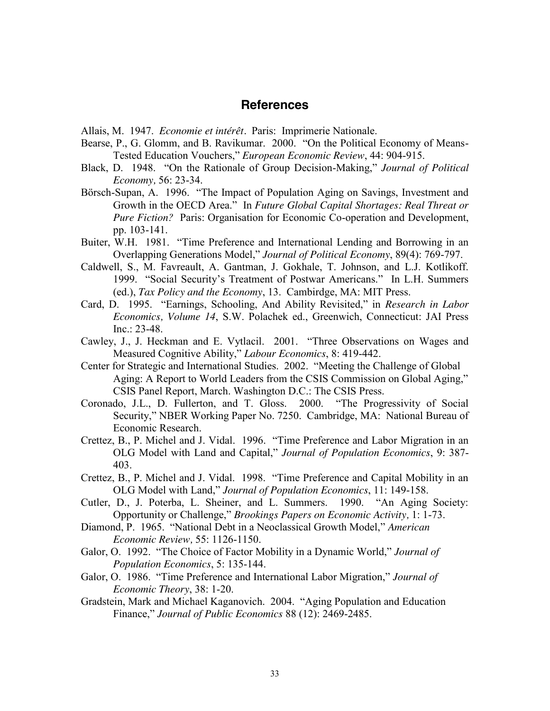### **References**

Allais, M. 1947. *Economie et intérêt.* Paris: Imprimerie Nationale.

- Bearse, P., G. Glomm, and B. Ravikumar. 2000. "On the Political Economy of Means-Tested Education Vouchers," *European Economic Review*, 44: 904-915.
- Black, D. 1948. "On the Rationale of Group Decision-Making," *Journal of Political Economy,* 56: 23-34.
- Börsch-Supan, A. 1996. "The Impact of Population Aging on Savings, Investment and Growth in the OECD Area." In *Future Global Capital Shortages: Real Threat or Pure Fiction?* Paris: Organisation for Economic Co-operation and Development, pp. 103-141.
- Buiter, W.H. 1981. "Time Preference and International Lending and Borrowing in an Overlapping Generations Model," *Journal of Political Economy*, 89(4): 769-797.
- Caldwell, S., M. Favreault, A. Gantman, J. Gokhale, T. Johnson, and L.J. Kotlikoff. 1999. "Social Security's Treatment of Postwar Americans." In L.H. Summers (ed.), *Tax Policy and the Economy*, 13. Cambirdge, MA: MIT Press.
- Card, D. 1995. "Earnings, Schooling, And Ability Revisited," in *Research in Labor Economics, Volume 14*, S.W. Polachek ed., Greenwich, Connecticut: JAI Press Inc.: 23-48.
- Cawley, J., J. Heckman and E. Vytlacil. 2001. "Three Observations on Wages and Measured Cognitive Ability," *Labour Economics*, 8: 419-442.
- Center for Strategic and International Studies. 2002. "Meeting the Challenge of Global Aging: A Report to World Leaders from the CSIS Commission on Global Aging," CSIS Panel Report, March. Washington D.C.: The CSIS Press.
- Coronado, J.L., D. Fullerton, and T. Gloss. 2000. "The Progressivity of Social Security," NBER Working Paper No. 7250. Cambridge, MA: National Bureau of Economic Research.
- Crettez, B., P. Michel and J. Vidal. 1996. "Time Preference and Labor Migration in an OLG Model with Land and Capital," *Journal of Population Economics*, 9: 387- 403.
- Crettez, B., P. Michel and J. Vidal. 1998. "Time Preference and Capital Mobility in an OLG Model with Land," *Journal of Population Economics*, 11: 149-158.
- Cutler, D., J. Poterba, L. Sheiner, and L. Summers. 1990. "An Aging Society: Opportunity or Challenge," *Brookings Papers on Economic Activity,* 1: 1-73.
- Diamond, P. 1965. "National Debt in a Neoclassical Growth Model," *American Economic Review,* 55: 1126-1150.
- Galor, O. 1992. "The Choice of Factor Mobility in a Dynamic World," *Journal of Population Economics*, 5: 135-144.
- Galor, O. 1986. "Time Preference and International Labor Migration," *Journal of Economic Theory*, 38: 1-20.
- Gradstein, Mark and Michael Kaganovich. 2004. "Aging Population and Education Finance," *Journal of Public Economics* 88 (12): 2469-2485.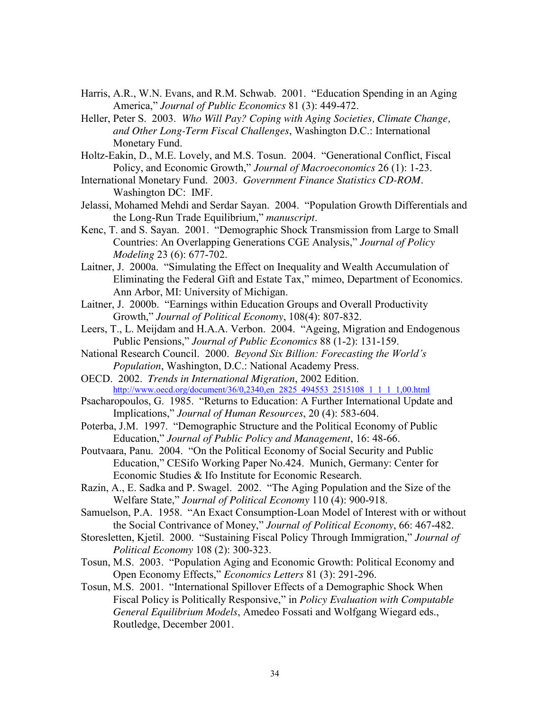- Harris, A.R., W.N. Evans, and R.M. Schwab. 2001. "Education Spending in an Aging America," *Journal of Public Economics* 81 (3): 449-472.
- Heller, Peter S. 2003. *Who Will Pay? Coping with Aging Societies, Climate Change, and Other Long-Term Fiscal Challenges*, Washington D.C.: International Monetary Fund.
- Holtz-Eakin, D., M.E. Lovely, and M.S. Tosun. 2004. "Generational Conflict, Fiscal Policy, and Economic Growth," *Journal of Macroeconomics* 26 (1): 1-23.
- International Monetary Fund. 2003. *Government Finance Statistics CD-ROM.* Washington DC: IMF.
- Jelassi, Mohamed Mehdi and Serdar Sayan. 2004. "Population Growth Differentials and the Long-Run Trade Equilibrium," *manuscript*.
- Kenc, T. and S. Sayan. 2001. "Demographic Shock Transmission from Large to Small Countries: An Overlapping Generations CGE Analysis," *Journal of Policy Modeling* 23 (6): 677-702.
- Laitner, J. 2000a. "Simulating the Effect on Inequality and Wealth Accumulation of Eliminating the Federal Gift and Estate Tax," mimeo, Department of Economics. Ann Arbor, MI: University of Michigan.
- Laitner, J. 2000b. "Earnings within Education Groups and Overall Productivity Growth," *Journal of Political Economy*, 108(4): 807-832.
- Leers, T., L. Meijdam and H.A.A. Verbon. 2004. "Ageing, Migration and Endogenous Public Pensions," *Journal of Public Economics* 88 (1-2): 131-159.
- National Research Council. 2000. *Beyond Six Billion: Forecasting the World's Population*, Washington, D.C.: National Academy Press.
- OECD. 2002. *Trends in International Migration*, 2002 Edition. [http://www.oecd.org/document/36/0,2340,en\\_2825\\_494553\\_2515108\\_1\\_1\\_1\\_1,00.html](http://www.oecd.org/document/36/0,2340,en_2825_494553_2515108_1_1_1_1,00.html)
- Psacharopoulos, G. 1985. "Returns to Education: A Further International Update and Implications," *Journal of Human Resources*, 20 (4): 583-604.
- Poterba, J.M. 1997. "Demographic Structure and the Political Economy of Public Education," *Journal of Public Policy and Management*, 16: 48-66.
- Poutvaara, Panu. 2004. "On the Political Economy of Social Security and Public Education," CESifo Working Paper No.424. Munich, Germany: Center for Economic Studies & Ifo Institute for Economic Research.
- Razin, A., E. Sadka and P. Swagel. 2002. "The Aging Population and the Size of the Welfare State," *Journal of Political Economy* 110 (4): 900-918.
- Samuelson, P.A. 1958. "An Exact Consumption-Loan Model of Interest with or without the Social Contrivance of Money," *Journal of Political Economy*, 66: 467-482.
- Storesletten, Kjetil. 2000. "Sustaining Fiscal Policy Through Immigration," *Journal of Political Economy* 108 (2): 300-323.
- Tosun, M.S. 2003. "Population Aging and Economic Growth: Political Economy and Open Economy Effects," *Economics Letters* 81 (3): 291-296.
- Tosun, M.S. 2001. "International Spillover Effects of a Demographic Shock When Fiscal Policy is Politically Responsive," in *Policy Evaluation with Computable General Equilibrium Models*, Amedeo Fossati and Wolfgang Wiegard eds., Routledge, December 2001.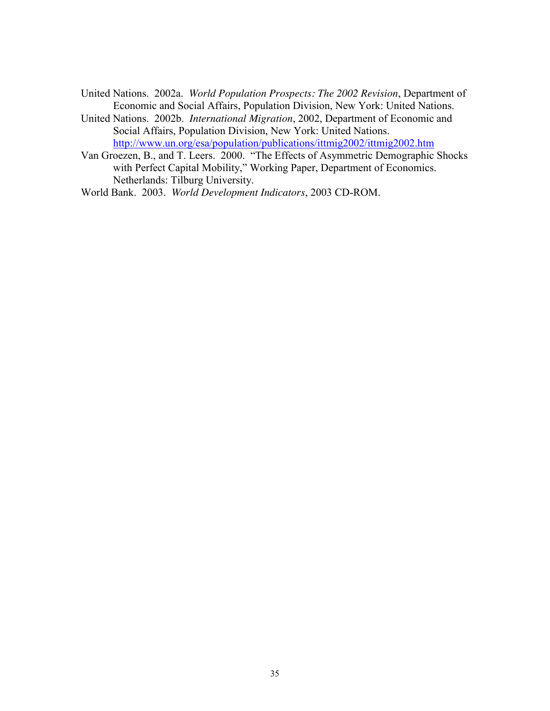- United Nations. 2002a. *World Population Prospects: The 2002 Revision*, Department of Economic and Social Affairs, Population Division, New York: United Nations.
- United Nations. 2002b. *International Migration*, 2002, Department of Economic and Social Affairs, Population Division, New York: United Nations. <http://www.un.org/esa/population/publications/ittmig2002/ittmig2002.htm>
- Van Groezen, B., and T. Leers. 2000. "The Effects of Asymmetric Demographic Shocks with Perfect Capital Mobility," Working Paper, Department of Economics. Netherlands: Tilburg University.
- World Bank. 2003. *World Development Indicators*, 2003 CD-ROM.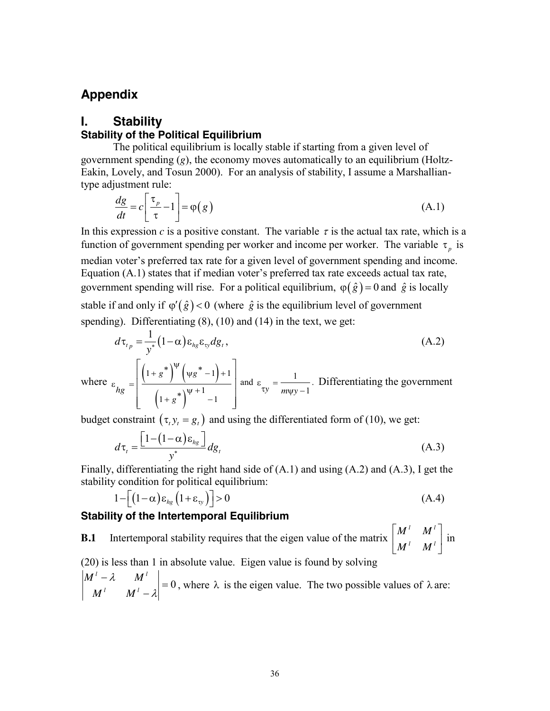# **Appendix**

### **I. Stability**

### **Stability of the Political Equilibrium**

The political equilibrium is locally stable if starting from a given level of government spending (*g*), the economy moves automatically to an equilibrium (Holtz-Eakin, Lovely, and Tosun 2000). For an analysis of stability, I assume a Marshalliantype adjustment rule:

$$
\frac{dg}{dt} = c \left[ \frac{\tau_p}{\tau} - 1 \right] = \varphi(g)
$$
\n(A.1)

In this expression *c* is a positive constant. The variable  $\tau$  is the actual tax rate, which is a function of government spending per worker and income per worker. The variable  $\tau_p$  is median voter's preferred tax rate for a given level of government spending and income. Equation (A.1) states that if median voter's preferred tax rate exceeds actual tax rate, government spending will rise. For a political equilibrium,  $\varphi(\hat{g}) = 0$  and  $\hat{g}$  is locally stable if and only if  $\varphi'(\hat{g}) < 0$  (where  $\hat{g}$  is the equilibrium level of government spending). Differentiating  $(8)$ ,  $(10)$  and  $(14)$  in the text, we get:

$$
d\tau_{t_p} = \frac{1}{y^*} (1 - \alpha) \varepsilon_{hg} \varepsilon_{ty} dg_t, \qquad (A.2)
$$

where 
$$
\varepsilon_{hg} = \left[ \frac{\left(1+g^*\right)^{\psi}\left(\psi g^*-1\right)+1}{\left(1+g^*\right)^{\psi+1}-1} \right]
$$
 and  $\varepsilon_{xy} = \frac{1}{m\psi y-1}$ . Differentiating the government

budget constraint  $(\tau_t y_t = g_t)$  and using the differentiated form of (10), we get:

$$
d\tau_t = \frac{\left[1 - (1 - \alpha)\varepsilon_{h_g}\right]}{y^*} dg_t
$$
 (A.3)

Finally, differentiating the right hand side of (A.1) and using (A.2) and (A.3), I get the stability condition for political equilibrium:

$$
1 - \left[ \left( 1 - \alpha \right) \varepsilon_{hg} \left( 1 + \varepsilon_{ty} \right) \right] > 0 \tag{A.4}
$$

#### **Stability of the Intertemporal Equilibrium**

**B.1** Intertemporal stability requires that the eigen value of the matrix  $\begin{bmatrix} m & m \\ M & M \end{bmatrix}$ 」  $\left|\begin{array}{cc} M^l & M^l \ M^l & M^l \end{array}\right|$ L L *l l l l*  $M^{\perp}$  *M*  $\left\{\begin{array}{c} M^{\dagger} & M^{\dagger} \\ I & I \end{array}\right\}$  in (20) is less than 1 in absolute value. Eigen value is found by solving  $l - \lambda$  *M*<sup>*l*</sup>

$$
\begin{vmatrix} M^t - \lambda & M^t \\ M^t & M^t - \lambda \end{vmatrix} = 0
$$
, where  $\lambda$  is the eigen value. The two possible values of  $\lambda$  are: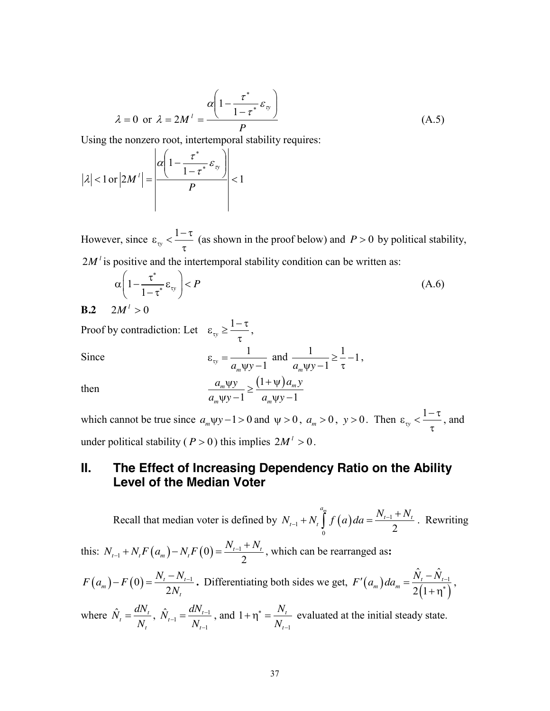$$
\lambda = 0 \text{ or } \lambda = 2M^l = \frac{\alpha \left(1 - \frac{\tau^*}{1 - \tau^*} \varepsilon_{\text{v}}\right)}{P} \tag{A.5}
$$

Using the nonzero root, intertemporal stability requires:

$$
|\lambda| < 1 \text{ or } |2M'| = \left| \frac{\alpha \left(1 - \frac{\tau^*}{1 - \tau^*} \varepsilon_{\nu} \right)}{P} \right| < 1
$$

However, since  $\varepsilon_{xy} < \frac{1-\tau}{2}$  $\tau$ (as shown in the proof below) and  $P > 0$  by political stability,  $2M<sup>l</sup>$  is positive and the intertemporal stability condition can be written as:

$$
\alpha \left(1 - \frac{\tau^*}{1 - \tau^*} \varepsilon_{\rm ty}\right) < P\tag{A.6}
$$

$$
\mathbf{B.2} \quad 2M^{\prime} > 0
$$

Proof by contradiction: Let  $\varepsilon_{xy} \ge \frac{1-\tau}{\tau}$ ,

Since 
$$
\varepsilon_{xy} = \frac{1}{a_m \psi y - 1}
$$
 and  $\frac{1}{a_m \psi y - 1} \ge \frac{1}{\tau} - 1$ ,  
then 
$$
\frac{a_m \psi y}{\sqrt{a_m \psi y - 1}} \ge \frac{(1 + \psi) a_m y}{\sqrt{a_m \psi y - 1}}
$$

which cannot be true since  $a_m \psi y - 1 > 0$  and  $\psi > 0$ ,  $a_m > 0$ ,  $y > 0$ . Then  $\varepsilon_{xy} < \frac{1 - \tau}{2}$  $\tau$ , and under political stability ( $P > 0$ ) this implies  $2M^2 > 0$ .

 $1 - a_m \psi y - 1$  $m \Psi y \longrightarrow (1 + \Psi) u_m$ 

 $\frac{u_m \Psi y}{\Psi y - 1} \geq \frac{(1 + \Psi) u_m y}{a_m \Psi y - 1}$ 

 $m \Psi y$  1  $u_m$ 

 $a_m \psi y - 1$   $a_m \psi y$ 

# **II. The Effect of Increasing Dependency Ratio on the Ability Level of the Median Voter**

Recall that median voter is defined by  $N_{t-1} + N_t \int_0^t f(a) da = \frac{N_{t-1} - 1}{2}$ *am*  $N_{t-1} + N_t \int_{t}^{a_m} f(a) da = \frac{N_{t-1} + N_t}{2}$  $+N_t \int_{0}^{a_m} f(a) da = \frac{N_{t-1} + N_t}{2}$ . Rewriting this:  $N_{t-1} + N_t F(a_m) - N_t F(0) = \frac{N_{t-1}}{2}$  $N_{t-1} + N_t F(a_m) - N_t F(0) = \frac{N_{t-1} + N_t}{2}$  $+N_{\iota} F(a_m) - N_{\iota} F(0) = \frac{N_{\iota-1} + N_{\iota}}{2}$ , which can be rearranged as:  $(a_m) - F(0) = \frac{N_t - N_{t-1}}{2N_t}$ 2  $\binom{m}{m}$  –  $F(0) = \frac{N_t - N_t}{2N}$ *t*  $F(a_m) - F(0) = \frac{N_t - N_t}{2N_t}$  $-F(0) = \frac{N_t - N_{t-1}}{2N_t}$ . Differentiating both sides we get,  $F'(a_m) da_m = \frac{\hat{N}_t - \hat{N}_{t-1}}{2(1+\eta^*)}$  $2(1)$  $F'(a_m) da_m = \frac{\hat{N}_t - \hat{N}_{t-1}}{2(1+\eta^*)},$ where  $\hat{N}_t = \frac{dN_t}{N}$ *t*  $\hat{N}_{t} = \frac{dN_{t}}{N_{t}}$ ,  $\hat{N}_{t-1} = \frac{dN_{t-1}}{N_{t-1}}$ 1  $\hat{\mathsf{V}}_{t-1} = \frac{d\mathsf{I}\mathsf{V}_{t}}{\mathsf{V}_{t}}$ *t*  $\hat{N}_{t-1} = \frac{dN}{dt}$ *N*  $\frac{u_1}{v_1} = \frac{u_1 v_1}{v_1}$  $\overline{a}$  $=\frac{u_{1}v_{t-1}}{v_{1}}$ , and 1  $1 + \eta^* = \frac{N_t}{N}$ *t N N* \*  $\overline{a}$  $+\eta^* = \frac{N_t}{N}$  evaluated at the initial steady state.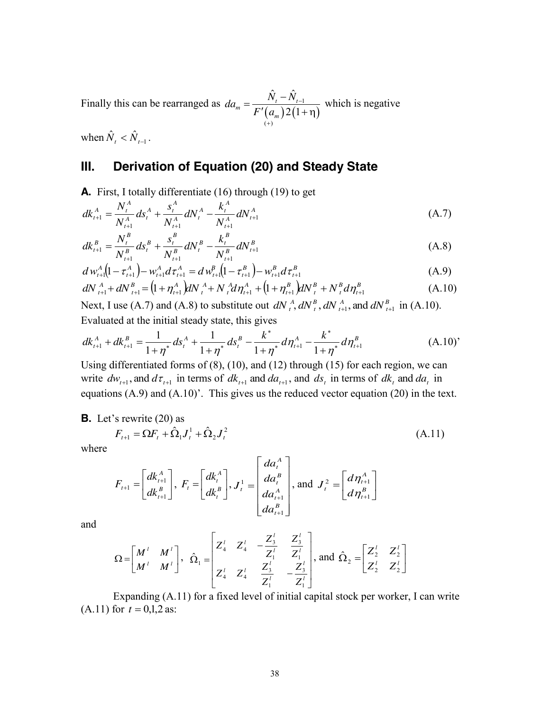Finally this can be rearranged as  $da_m = \frac{N_t - N_{t-1}}{F'(a_m) 2(1+\eta)}$  $(+)$  $\hat{\mathsf{V}}\,=\hat{\mathsf{N}}$  $2(1)$  $m = \frac{N_t - N_t}{\Gamma^t (a) 2(1)}$ *m*  $da_m = \frac{N_t - N_t}{\Gamma(1-\lambda)^2}$ *F'*(*a*  $\overline{a}$  $^{+}$  $=\frac{\hat{N}_{t}-\hat{N}_{t-1}}{F'(a_{m})2(1+\eta)}$  which is negative

when  $\hat{N}_t < \hat{N}_{t-1}$ .

# **III. Derivation of Equation (20) and Steady State**

**A.** First, I totally differentiate (16) through (19) to get

$$
dk_{t+1}^{A} = \frac{N_{t}^{A}}{N_{t+1}^{A}} ds_{t}^{A} + \frac{s_{t}^{A}}{N_{t+1}^{A}} dN_{t}^{A} - \frac{k_{t}^{A}}{N_{t+1}^{A}} dN_{t+1}^{A}
$$
(A.7)

$$
dk_{t+1}^B = \frac{N_t^B}{N_{t+1}^B} ds_t^B + \frac{s_t^B}{N_{t+1}^B} dN_t^B - \frac{k_t^B}{N_{t+1}^B} dN_{t+1}^B
$$
\n(A.8)

$$
d w_{t+1}^{A} (1 - \tau_{t+1}^{A}) - w_{t+1}^{A} d \tau_{t+1}^{A} = d w_{t+1}^{B} (1 - \tau_{t+1}^{B}) - w_{t+1}^{B} d \tau_{t+1}^{B}
$$
\n(A.9)

$$
dN_{t+1}^{A} + dN_{t+1}^{B} = (1 + \eta_{t+1}^{A})dN_{t}^{A} + N_{t}^{A}d\eta_{t+1}^{A} + (1 + \eta_{t+1}^{B})dN_{t}^{B} + N_{t}^{B}d\eta_{t+1}^{B}
$$
(A.10)

Next, I use (A.7) and (A.8) to substitute out  $dN_{t}^{A}$ ,  $dN_{t}^{B}$ ,  $dN_{t+1}^{A}$ , and  $dN_{t}^{B}$ *A t B*  $dN_{t}^{A}$ ,  $dN_{t}^{B}$ ,  $dN_{t+1}^{A}$ , and  $dN_{t+1}^{B}$  in (A.10). Evaluated at the initial steady state, this gives

$$
dk_{t+1}^{A} + dk_{t+1}^{B} = \frac{1}{1+\eta^*} ds_{t}^{A} + \frac{1}{1+\eta^*} ds_{t}^{B} - \frac{k^*}{1+\eta^*} d\eta_{t+1}^{A} - \frac{k^*}{1+\eta^*} d\eta_{t+1}^{B}
$$
(A.10)

Using differentiated forms of (8), (10), and (12) through (15) for each region, we can write  $dw_{t+1}$ , and  $d\tau_{t+1}$  in terms of  $dk_{t+1}$  and  $da_{t+1}$ , and  $ds_t$  in terms of  $dk_t$  and  $da_t$  in equations (A.9) and (A.10)'. This gives us the reduced vector equation (20) in the text.

**B.** Let's rewrite (20) as

$$
F_{t+1} = \Omega F_t + \hat{\Omega}_1 J_t^1 + \hat{\Omega}_2 J_t^2
$$
\n(A.11)

where

$$
F_{t+1} = \begin{bmatrix} dk_{t+1}^{A} \\ dk_{t+1}^{B} \end{bmatrix}, F_{t} = \begin{bmatrix} dk_{t}^{A} \\ dk_{t}^{B} \end{bmatrix}, J_{t}^{1} = \begin{bmatrix} da_{t}^{A} \\ da_{t}^{A} \\ da_{t+1}^{A} \\ da_{t+1}^{B} \end{bmatrix}, \text{and } J_{t}^{2} = \begin{bmatrix} d\eta_{t+1}^{A} \\ d\eta_{t+1}^{B} \end{bmatrix}
$$

and

$$
\Omega = \begin{bmatrix} M^l & M^l \ M^l & M^l \end{bmatrix}, \quad \hat{\Omega}_1 = \begin{bmatrix} Z_4^l & Z_4^l & -\frac{Z_3^l}{Z_4^l} & \frac{Z_3^l}{Z_4^l} \\ Z_4^l & Z_4^l & \frac{Z_3^l}{Z_4^l} & -\frac{Z_3^l}{Z_4^l} \end{bmatrix}, \text{ and } \hat{\Omega}_2 = \begin{bmatrix} Z_2^l & Z_2^l \\ Z_2^l & Z_2^l \end{bmatrix}
$$

Expanding (A.11) for a fixed level of initial capital stock per worker, I can write  $(A.11)$  for  $t = 0.1, 2$  as: